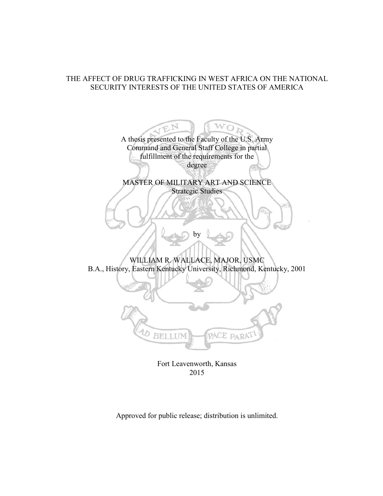# THE AFFECT OF DRUG TRAFFICKING IN WEST AFRICA ON THE NATIONAL SECURITY INTERESTS OF THE UNITED STATES OF AMERICA

A thesis presented to the Faculty of the U.S. Army Command and General Staff College in partial fulfillment of the requirements for the degree MASTER OF MILITARY ART AND SCIENCE Strategic Studies by WILLIAM R. WALLACE, MAJOR, USMC B.A., History, Eastern Kentucky University, Richmond, Kentucky, 2001 BELLUM PACE PARA

Fort Leavenworth, Kansas 2015

Approved for public release; distribution is unlimited.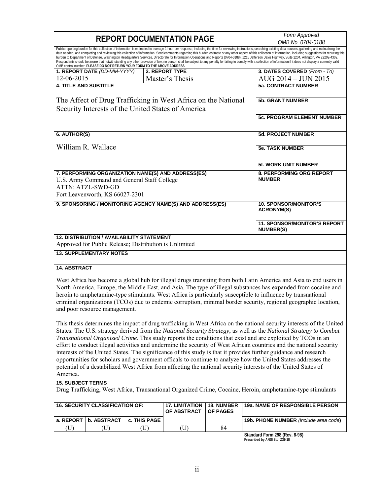| <b>REPORT DOCUMENTATION PAGE</b>                                                                                                                                                                                                                                                                                                                                                                                                                                                                                                                                                                                                                                                                                                                                                                                                                                                                                                                               |                                                                                                            |              |                                                           |                        | Form Approved<br>OMB No. 0704-0188                      |  |
|----------------------------------------------------------------------------------------------------------------------------------------------------------------------------------------------------------------------------------------------------------------------------------------------------------------------------------------------------------------------------------------------------------------------------------------------------------------------------------------------------------------------------------------------------------------------------------------------------------------------------------------------------------------------------------------------------------------------------------------------------------------------------------------------------------------------------------------------------------------------------------------------------------------------------------------------------------------|------------------------------------------------------------------------------------------------------------|--------------|-----------------------------------------------------------|------------------------|---------------------------------------------------------|--|
| Public reporting burden for this collection of information is estimated to average 1 hour per response, including the time for reviewing instructions, searching existing data sources, gathering and maintaining the<br>data needed, and completing and reviewing this collection of information. Send comments regarding this burden estimate or any other aspect of this collection of information, including suggestions for reducing this<br>burden to Department of Defense, Washington Headquarters Services, Directorate for Information Operations and Reports (0704-0188), 1215 Jefferson Davis Highway, Suite 1204, Arlington, VA 22202-4302.<br>Respondents should be aware that notwithstanding any other provision of law, no person shall be subject to any penalty for failing to comply with a collection of information if it does not display a currently valid<br>OMB control number. PLEASE DO NOT RETURN YOUR FORM TO THE ABOVE ADDRESS. |                                                                                                            |              |                                                           |                        |                                                         |  |
|                                                                                                                                                                                                                                                                                                                                                                                                                                                                                                                                                                                                                                                                                                                                                                                                                                                                                                                                                                | 1. REPORT DATE (DD-MM-YYYY)                                                                                |              | <b>2. REPORT TYPE</b>                                     |                        | 3. DATES COVERED (From - To)                            |  |
| 12-06-2015                                                                                                                                                                                                                                                                                                                                                                                                                                                                                                                                                                                                                                                                                                                                                                                                                                                                                                                                                     |                                                                                                            |              | Master's Thesis                                           |                        | AUG 2014 - JUN 2015                                     |  |
| <b>4. TITLE AND SUBTITLE</b>                                                                                                                                                                                                                                                                                                                                                                                                                                                                                                                                                                                                                                                                                                                                                                                                                                                                                                                                   |                                                                                                            |              |                                                           |                        | <b>5a. CONTRACT NUMBER</b>                              |  |
|                                                                                                                                                                                                                                                                                                                                                                                                                                                                                                                                                                                                                                                                                                                                                                                                                                                                                                                                                                |                                                                                                            |              |                                                           |                        |                                                         |  |
| The Affect of Drug Trafficking in West Africa on the National<br>Security Interests of the United States of America                                                                                                                                                                                                                                                                                                                                                                                                                                                                                                                                                                                                                                                                                                                                                                                                                                            |                                                                                                            |              |                                                           |                        | <b>5b. GRANT NUMBER</b>                                 |  |
|                                                                                                                                                                                                                                                                                                                                                                                                                                                                                                                                                                                                                                                                                                                                                                                                                                                                                                                                                                |                                                                                                            |              |                                                           |                        | <b>5c. PROGRAM ELEMENT NUMBER</b>                       |  |
| 6. AUTHOR(S)                                                                                                                                                                                                                                                                                                                                                                                                                                                                                                                                                                                                                                                                                                                                                                                                                                                                                                                                                   |                                                                                                            |              |                                                           |                        | <b>5d. PROJECT NUMBER</b>                               |  |
| William R. Wallace                                                                                                                                                                                                                                                                                                                                                                                                                                                                                                                                                                                                                                                                                                                                                                                                                                                                                                                                             |                                                                                                            |              |                                                           |                        | <b>5e. TASK NUMBER</b>                                  |  |
|                                                                                                                                                                                                                                                                                                                                                                                                                                                                                                                                                                                                                                                                                                                                                                                                                                                                                                                                                                |                                                                                                            |              |                                                           |                        | <b>5f. WORK UNIT NUMBER</b>                             |  |
| 7. PERFORMING ORGANIZATION NAME(S) AND ADDRESS(ES)<br>U.S. Army Command and General Staff College<br>ATTN: ATZL-SWD-GD<br>Fort Leavenworth, KS 66027-2301                                                                                                                                                                                                                                                                                                                                                                                                                                                                                                                                                                                                                                                                                                                                                                                                      |                                                                                                            |              |                                                           |                        | 8. PERFORMING ORG REPORT<br><b>NUMBER</b>               |  |
|                                                                                                                                                                                                                                                                                                                                                                                                                                                                                                                                                                                                                                                                                                                                                                                                                                                                                                                                                                |                                                                                                            |              |                                                           |                        |                                                         |  |
|                                                                                                                                                                                                                                                                                                                                                                                                                                                                                                                                                                                                                                                                                                                                                                                                                                                                                                                                                                |                                                                                                            |              | 9. SPONSORING / MONITORING AGENCY NAME(S) AND ADDRESS(ES) |                        | <b>10. SPONSOR/MONITOR'S</b><br><b>ACRONYM(S)</b>       |  |
|                                                                                                                                                                                                                                                                                                                                                                                                                                                                                                                                                                                                                                                                                                                                                                                                                                                                                                                                                                |                                                                                                            |              |                                                           |                        | <b>11. SPONSOR/MONITOR'S REPORT</b><br><b>NUMBER(S)</b> |  |
|                                                                                                                                                                                                                                                                                                                                                                                                                                                                                                                                                                                                                                                                                                                                                                                                                                                                                                                                                                | <b>12. DISTRIBUTION / AVAILABILITY STATEMENT</b><br>Approved for Public Release; Distribution is Unlimited |              |                                                           |                        |                                                         |  |
|                                                                                                                                                                                                                                                                                                                                                                                                                                                                                                                                                                                                                                                                                                                                                                                                                                                                                                                                                                | <b>13. SUPPLEMENTARY NOTES</b>                                                                             |              |                                                           |                        |                                                         |  |
| <b>14. ABSTRACT</b>                                                                                                                                                                                                                                                                                                                                                                                                                                                                                                                                                                                                                                                                                                                                                                                                                                                                                                                                            |                                                                                                            |              |                                                           |                        |                                                         |  |
| West Africa has become a global hub for illegal drugs transiting from both Latin America and Asia to end users in<br>North America, Europe, the Middle East, and Asia. The type of illegal substances has expanded from cocaine and<br>heroin to amphetamine-type stimulants. West Africa is particularly susceptible to influence by transnational<br>criminal organizations (TCOs) due to endemic corruption, minimal border security, regional geographic location,<br>and poor resource management.                                                                                                                                                                                                                                                                                                                                                                                                                                                        |                                                                                                            |              |                                                           |                        |                                                         |  |
| This thesis determines the impact of drug trafficking in West Africa on the national security interests of the United<br>States. The U.S. strategy derived from the National Security Strategy, as well as the National Strategy to Combat<br>Transnational Organized Crime. This study reports the conditions that exist and are exploited by TCOs in an<br>effort to conduct illegal activities and undermine the security of West African countries and the national security<br>interests of the United States. The significance of this study is that it provides further guidance and research<br>opportunities for scholars and government officals to continue to analyze how the United States addresses the<br>potential of a destabilized West Africa from affecting the national security interests of the United States of<br>America.                                                                                                            |                                                                                                            |              |                                                           |                        |                                                         |  |
| <b>15. SUBJECT TERMS</b><br>Drug Trafficking, West Africa, Transnational Organized Crime, Cocaine, Heroin, amphetamine-type stimulants                                                                                                                                                                                                                                                                                                                                                                                                                                                                                                                                                                                                                                                                                                                                                                                                                         |                                                                                                            |              |                                                           |                        |                                                         |  |
|                                                                                                                                                                                                                                                                                                                                                                                                                                                                                                                                                                                                                                                                                                                                                                                                                                                                                                                                                                |                                                                                                            |              |                                                           |                        |                                                         |  |
| <b>16. SECURITY CLASSIFICATION OF:</b>                                                                                                                                                                                                                                                                                                                                                                                                                                                                                                                                                                                                                                                                                                                                                                                                                                                                                                                         |                                                                                                            |              | <b>17. LIMITATION</b><br>OF ABSTRACT                      | 18. NUMBER<br>OF PAGES | 19a. NAME OF RESPONSIBLE PERSON                         |  |
| a. REPORT                                                                                                                                                                                                                                                                                                                                                                                                                                                                                                                                                                                                                                                                                                                                                                                                                                                                                                                                                      | <b>b. ABSTRACT</b>                                                                                         | c. THIS PAGE |                                                           |                        | 19b. PHONE NUMBER (include area code)                   |  |
| (U)                                                                                                                                                                                                                                                                                                                                                                                                                                                                                                                                                                                                                                                                                                                                                                                                                                                                                                                                                            | (U)                                                                                                        | (U)          | (U)                                                       | 84                     |                                                         |  |
|                                                                                                                                                                                                                                                                                                                                                                                                                                                                                                                                                                                                                                                                                                                                                                                                                                                                                                                                                                |                                                                                                            |              |                                                           |                        | Standard Form 298 (Rev. 8-98)                           |  |

**Standard Form 298 (Rev. 8-98) Prescribed by ANSI Std. Z39.18**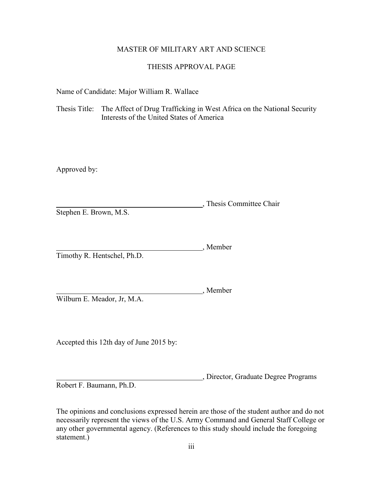# MASTER OF MILITARY ART AND SCIENCE

# THESIS APPROVAL PAGE

Name of Candidate: Major William R. Wallace

Thesis Title: The Affect of Drug Trafficking in West Africa on the National Security Interests of the United States of America

Approved by:

, Thesis Committee Chair Stephen E. Brown, M.S.

, Member Timothy R. Hentschel, Ph.D.

Wilburn E. Meador, Jr, M.A.

Accepted this 12th day of June 2015 by:

, Director, Graduate Degree Programs Robert F. Baumann, Ph.D.

Member

The opinions and conclusions expressed herein are those of the student author and do not necessarily represent the views of the U.S. Army Command and General Staff College or any other governmental agency. (References to this study should include the foregoing statement.)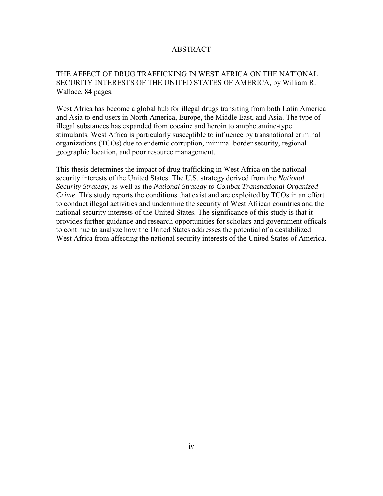# ABSTRACT

# THE AFFECT OF DRUG TRAFFICKING IN WEST AFRICA ON THE NATIONAL SECURITY INTERESTS OF THE UNITED STATES OF AMERICA, by William R. Wallace, 84 pages.

West Africa has become a global hub for illegal drugs transiting from both Latin America and Asia to end users in North America, Europe, the Middle East, and Asia. The type of illegal substances has expanded from cocaine and heroin to amphetamine-type stimulants. West Africa is particularly susceptible to influence by transnational criminal organizations (TCOs) due to endemic corruption, minimal border security, regional geographic location, and poor resource management.

This thesis determines the impact of drug trafficking in West Africa on the national security interests of the United States. The U.S. strategy derived from the *National Security Strategy*, as well as the *National Strategy to Combat Transnational Organized Crime*. This study reports the conditions that exist and are exploited by TCOs in an effort to conduct illegal activities and undermine the security of West African countries and the national security interests of the United States. The significance of this study is that it provides further guidance and research opportunities for scholars and government officals to continue to analyze how the United States addresses the potential of a destabilized West Africa from affecting the national security interests of the United States of America.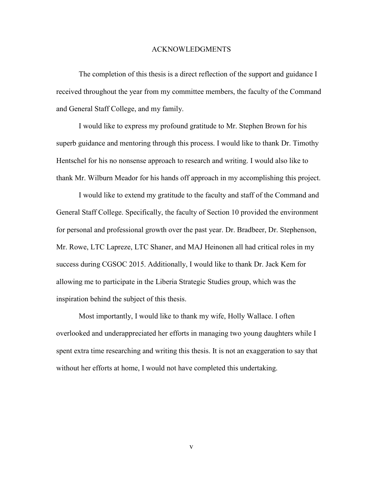#### ACKNOWLEDGMENTS

The completion of this thesis is a direct reflection of the support and guidance I received throughout the year from my committee members, the faculty of the Command and General Staff College, and my family.

I would like to express my profound gratitude to Mr. Stephen Brown for his superb guidance and mentoring through this process. I would like to thank Dr. Timothy Hentschel for his no nonsense approach to research and writing. I would also like to thank Mr. Wilburn Meador for his hands off approach in my accomplishing this project.

I would like to extend my gratitude to the faculty and staff of the Command and General Staff College. Specifically, the faculty of Section 10 provided the environment for personal and professional growth over the past year. Dr. Bradbeer, Dr. Stephenson, Mr. Rowe, LTC Lapreze, LTC Shaner, and MAJ Heinonen all had critical roles in my success during CGSOC 2015. Additionally, I would like to thank Dr. Jack Kem for allowing me to participate in the Liberia Strategic Studies group, which was the inspiration behind the subject of this thesis.

Most importantly, I would like to thank my wife, Holly Wallace. I often overlooked and underappreciated her efforts in managing two young daughters while I spent extra time researching and writing this thesis. It is not an exaggeration to say that without her efforts at home, I would not have completed this undertaking.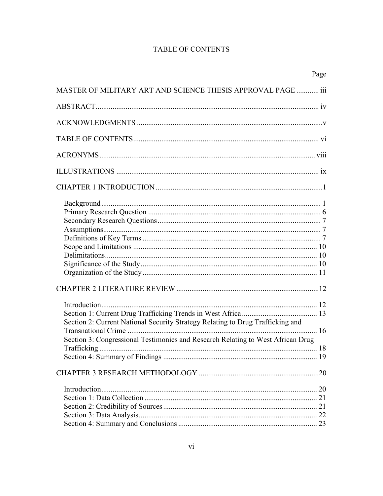# **TABLE OF CONTENTS**

|                                                                                 | Page |
|---------------------------------------------------------------------------------|------|
| MASTER OF MILITARY ART AND SCIENCE THESIS APPROVAL PAGE  iii                    |      |
|                                                                                 |      |
|                                                                                 |      |
|                                                                                 |      |
|                                                                                 |      |
|                                                                                 |      |
|                                                                                 |      |
|                                                                                 |      |
|                                                                                 |      |
|                                                                                 |      |
|                                                                                 |      |
|                                                                                 |      |
| Section 2: Current National Security Strategy Relating to Drug Trafficking and  |      |
| Section 3: Congressional Testimonies and Research Relating to West African Drug |      |
|                                                                                 |      |
|                                                                                 |      |
|                                                                                 |      |
|                                                                                 |      |
|                                                                                 |      |
|                                                                                 |      |
|                                                                                 |      |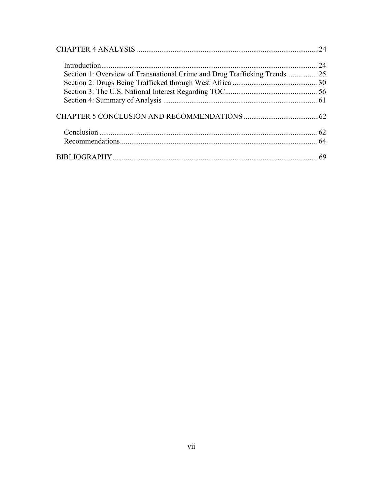| Section 1: Overview of Transnational Crime and Drug Trafficking Trends 25 |  |
|---------------------------------------------------------------------------|--|
|                                                                           |  |
|                                                                           |  |
|                                                                           |  |
|                                                                           |  |
|                                                                           |  |
|                                                                           |  |
|                                                                           |  |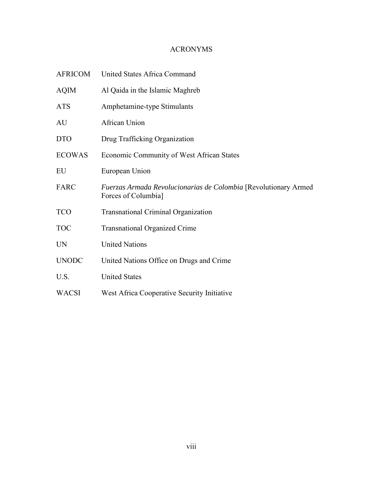# ACRONYMS

| <b>AFRICOM</b> | United States Africa Command                                                            |
|----------------|-----------------------------------------------------------------------------------------|
| <b>AQIM</b>    | Al Qaida in the Islamic Maghreb                                                         |
| <b>ATS</b>     | Amphetamine-type Stimulants                                                             |
| AU             | African Union                                                                           |
| <b>DTO</b>     | Drug Trafficking Organization                                                           |
| <b>ECOWAS</b>  | Economic Community of West African States                                               |
| EU             | European Union                                                                          |
| FARC           | Fuerzas Armada Revolucionarias de Colombia [Revolutionary Armed]<br>Forces of Columbia] |
| <b>TCO</b>     | <b>Transnational Criminal Organization</b>                                              |
| <b>TOC</b>     | <b>Transnational Organized Crime</b>                                                    |
| <b>UN</b>      | <b>United Nations</b>                                                                   |
| <b>UNODC</b>   | United Nations Office on Drugs and Crime                                                |
| U.S.           | <b>United States</b>                                                                    |
| <b>WACSI</b>   | West Africa Cooperative Security Initiative                                             |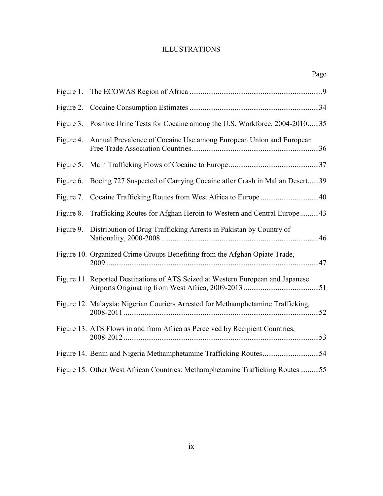# ILLUSTRATIONS

|           |                                                                                  | Page |
|-----------|----------------------------------------------------------------------------------|------|
| Figure 1. |                                                                                  |      |
| Figure 2. |                                                                                  |      |
| Figure 3. | Positive Urine Tests for Cocaine among the U.S. Workforce, 2004-201035           |      |
| Figure 4. | Annual Prevalence of Cocaine Use among European Union and European               |      |
| Figure 5. |                                                                                  |      |
| Figure 6. | Boeing 727 Suspected of Carrying Cocaine after Crash in Malian Desert39          |      |
| Figure 7. |                                                                                  |      |
| Figure 8. | Trafficking Routes for Afghan Heroin to Western and Central Europe43             |      |
| Figure 9. | Distribution of Drug Trafficking Arrests in Pakistan by Country of               |      |
|           | Figure 10. Organized Crime Groups Benefiting from the Afghan Opiate Trade,       |      |
|           | Figure 11. Reported Destinations of ATS Seized at Western European and Japanese  |      |
|           | Figure 12. Malaysia: Nigerian Couriers Arrested for Methamphetamine Trafficking, |      |
|           | Figure 13. ATS Flows in and from Africa as Perceived by Recipient Countries,     |      |
|           |                                                                                  |      |
|           | Figure 15. Other West African Countries: Methamphetamine Trafficking Routes55    |      |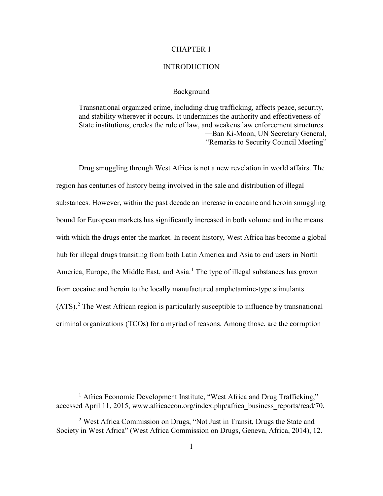# CHAPTER 1

#### INTRODUCTION

## Background

Transnational organized crime, including drug trafficking, affects peace, security, and stability wherever it occurs. It undermines the authority and effectiveness of State institutions, erodes the rule of law, and weakens law enforcement structures. ―Ban Ki-Moon, UN Secretary General, "Remarks to Security Council Meeting"

Drug smuggling through West Africa is not a new revelation in world affairs. The region has centuries of history being involved in the sale and distribution of illegal substances. However, within the past decade an increase in cocaine and heroin smuggling bound for European markets has significantly increased in both volume and in the means with which the drugs enter the market. In recent history, West Africa has become a global hub for illegal drugs transiting from both Latin America and Asia to end users in North America, Europe, the Middle East, and Asia.<sup>[1](#page-9-0)</sup> The type of illegal substances has grown from cocaine and heroin to the locally manufactured amphetamine-type stimulants  $(ATS)$ .<sup>[2](#page-9-1)</sup> The West African region is particularly susceptible to influence by transnational criminal organizations (TCOs) for a myriad of reasons. Among those, are the corruption

<span id="page-9-0"></span><sup>&</sup>lt;sup>1</sup> Africa Economic Development Institute, "West Africa and Drug Trafficking," accessed April 11, 2015, www.africaecon.org/index.php/africa\_business\_reports/read/70.

<span id="page-9-1"></span><sup>2</sup> West Africa Commission on Drugs, "Not Just in Transit, Drugs the State and Society in West Africa" (West Africa Commission on Drugs, Geneva, Africa, 2014), 12.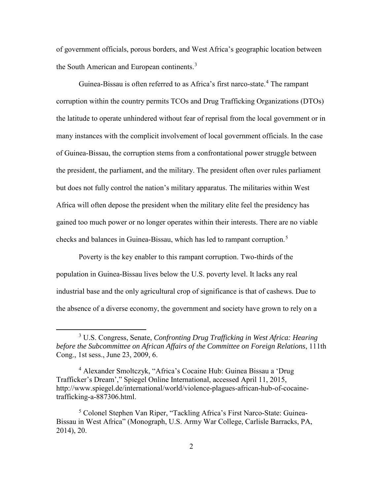of government officials, porous borders, and West Africa's geographic location between the South American and European continents.<sup>[3](#page-10-0)</sup>

Guinea-Bissau is often referred to as Africa's first narco-state.<sup>[4](#page-10-1)</sup> The rampant corruption within the country permits TCOs and Drug Trafficking Organizations (DTOs) the latitude to operate unhindered without fear of reprisal from the local government or in many instances with the complicit involvement of local government officials. In the case of Guinea-Bissau, the corruption stems from a confrontational power struggle between the president, the parliament, and the military. The president often over rules parliament but does not fully control the nation's military apparatus. The militaries within West Africa will often depose the president when the military elite feel the presidency has gained too much power or no longer operates within their interests. There are no viable checks and balances in Guinea-Bissau, which has led to rampant corruption.<sup>[5](#page-10-2)</sup>

Poverty is the key enabler to this rampant corruption. Two-thirds of the population in Guinea-Bissau lives below the U.S. poverty level. It lacks any real industrial base and the only agricultural crop of significance is that of cashews. Due to the absence of a diverse economy, the government and society have grown to rely on a

<span id="page-10-0"></span> $\overline{\phantom{a}}$  3 U.S. Congress, Senate, *Confronting Drug Trafficking in West Africa: Hearing before the Subcommittee on African Affairs of the Committee on Foreign Relations*, 111th Cong., 1st sess., June 23, 2009, 6.

<span id="page-10-1"></span><sup>&</sup>lt;sup>4</sup> Alexander Smoltczyk, "Africa's Cocaine Hub: Guinea Bissau a 'Drug Trafficker's Dream'," Spiegel Online International, accessed April 11, 2015, http://www.spiegel.de/international/world/violence-plagues-african-hub-of-cocainetrafficking-a-887306.html.

<span id="page-10-2"></span><sup>&</sup>lt;sup>5</sup> Colonel Stephen Van Riper, "Tackling Africa's First Narco-State: Guinea-Bissau in West Africa" (Monograph, U.S. Army War College, Carlisle Barracks, PA, 2014), 20.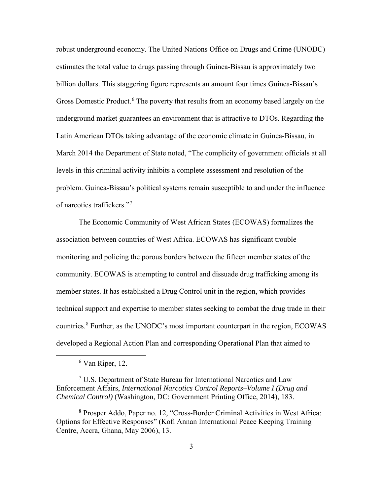robust underground economy. The United Nations Office on Drugs and Crime (UNODC) estimates the total value to drugs passing through Guinea-Bissau is approximately two billion dollars. This staggering figure represents an amount four times Guinea-Bissau's Gross Domestic Product.<sup>[6](#page-11-0)</sup> The poverty that results from an economy based largely on the underground market guarantees an environment that is attractive to DTOs. Regarding the Latin American DTOs taking advantage of the economic climate in Guinea-Bissau, in March 2014 the Department of State noted, "The complicity of government officials at all levels in this criminal activity inhibits a complete assessment and resolution of the problem. Guinea-Bissau's political systems remain susceptible to and under the influence of narcotics traffickers."[7](#page-11-1)

The Economic Community of West African States (ECOWAS) formalizes the association between countries of West Africa. ECOWAS has significant trouble monitoring and policing the porous borders between the fifteen member states of the community. ECOWAS is attempting to control and dissuade drug trafficking among its member states. It has established a Drug Control unit in the region, which provides technical support and expertise to member states seeking to combat the drug trade in their countries.<sup>[8](#page-11-2)</sup> Further, as the UNODC's most important counterpart in the region, ECOWAS developed a Regional Action Plan and corresponding Operational Plan that aimed to

<span id="page-11-0"></span> <sup>6</sup>  $6$  Van Riper, 12.

<span id="page-11-1"></span><sup>&</sup>lt;sup>7</sup> U.S. Department of State Bureau for International Narcotics and Law Enforcement Affairs, *International Narcotics Control Reports–Volume I (Drug and Chemical Control)* (Washington, DC: Government Printing Office, 2014), 183.

<span id="page-11-2"></span><sup>8</sup> Prosper Addo, Paper no. 12, "Cross-Border Criminal Activities in West Africa: Options for Effective Responses" (Kofi Annan International Peace Keeping Training Centre, Accra, Ghana, May 2006), 13.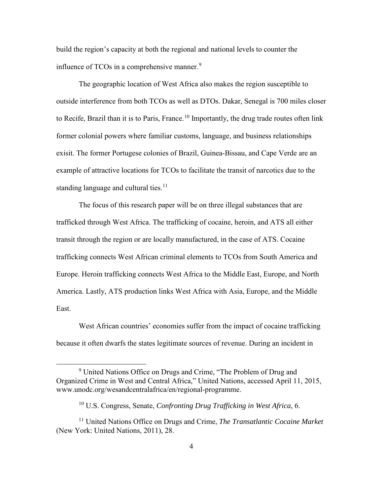build the region's capacity at both the regional and national levels to counter the influence of TCOs in a comprehensive manner.<sup>[9](#page-12-0)</sup>

The geographic location of West Africa also makes the region susceptible to outside interference from both TCOs as well as DTOs. Dakar, Senegal is 700 miles closer to Recife, Brazil than it is to Paris, France.<sup>[10](#page-12-1)</sup> Importantly, the drug trade routes often link former colonial powers where familiar customs, language, and business relationships exisit. The former Portugese colonies of Brazil, Guinea-Bissau, and Cape Verde are an example of attractive locations for TCOs to facilitate the transit of narcotics due to the standing language and cultural ties. $11$ 

The focus of this research paper will be on three illegal substances that are trafficked through West Africa. The trafficking of cocaine, heroin, and ATS all either transit through the region or are locally manufactured, in the case of ATS. Cocaine trafficking connects West African criminal elements to TCOs from South America and Europe. Heroin trafficking connects West Africa to the Middle East, Europe, and North America. Lastly, ATS production links West Africa with Asia, Europe, and the Middle East.

West African countries' economies suffer from the impact of cocaine trafficking because it often dwarfs the states legitimate sources of revenue. During an incident in

<span id="page-12-0"></span> <sup>9</sup> <sup>9</sup> United Nations Office on Drugs and Crime, "The Problem of Drug and Organized Crime in West and Central Africa," United Nations, accessed April 11, 2015, www.unodc.org/wesandcentralafrica/en/regional-programme.

<sup>10</sup> U.S. Congress, Senate, *Confronting Drug Trafficking in West Africa*, 6.

<span id="page-12-2"></span><span id="page-12-1"></span><sup>11</sup> United Nations Office on Drugs and Crime, *The Transatlantic Cocaine Market* (New York: United Nations, 2011), 28.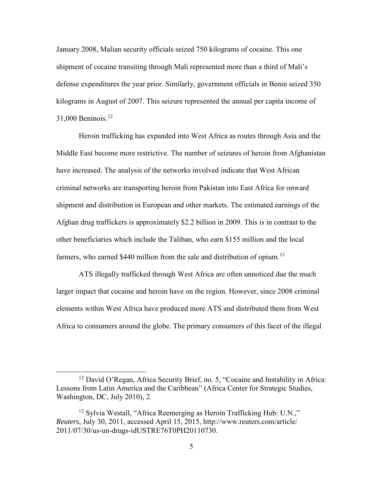January 2008, Malian security officials seized 750 kilograms of cocaine. This one shipment of cocaine transiting through Mali represented more than a third of Mali's defense expenditures the year prior. Similarly, government officials in Benin seized 350 kilograms in August of 2007. This seizure represented the annual per capita income of  $31,000$  Beninois.<sup>[12](#page-13-0)</sup>

Heroin trafficking has expanded into West Africa as routes through Asia and the Middle East become more restrictive. The number of seizures of heroin from Afghanistan have increased. The analysis of the networks involved indicate that West African criminal networks are transporting heroin from Pakistan into East Africa for onward shipment and distribution in European and other markets. The estimated earnings of the Afghan drug traffickers is approximately \$2.2 billion in 2009. This is in contrast to the other beneficiaries which include the Taliban, who earn \$155 million and the local farmers, who earned \$440 million from the sale and distribution of opium.<sup>[13](#page-13-1)</sup>

ATS illegally trafficked through West Africa are often unnoticed due the much larger impact that cocaine and heroin have on the region. However, since 2008 criminal elements within West Africa have produced more ATS and distributed them from West Africa to consumers around the globe. The primary consumers of this facet of the illegal

<span id="page-13-0"></span><sup>&</sup>lt;sup>12</sup> David O'Regan, Africa Security Brief, no. 5, "Cocaine and Instability in Africa: Lessons from Latin America and the Caribbean" (Africa Center for Strategic Studies, Washington, DC, July 2010), 2.

<span id="page-13-1"></span> $13$  Sylvia Westall, "Africa Reemerging as Heroin Trafficking Hub: U.N.," *Reuters*, July 30, 2011, accessed April 15, 2015, http://www.reuters.com/article/ 2011/07/30/us-un-drugs-idUSTRE76T0PH20110730.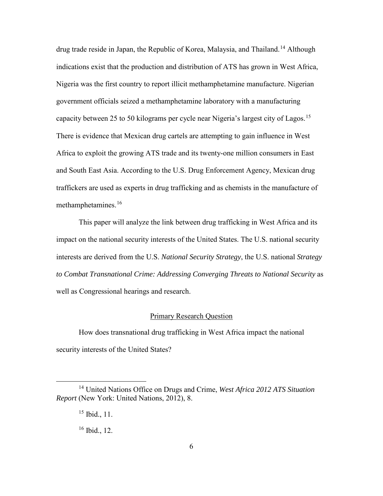drug trade reside in Japan, the Republic of Korea, Malaysia, and Thailand.[14](#page-14-0) Although indications exist that the production and distribution of ATS has grown in West Africa, Nigeria was the first country to report illicit methamphetamine manufacture. Nigerian government officials seized a methamphetamine laboratory with a manufacturing capacity between 25 to 50 kilograms per cycle near Nigeria's largest city of Lagos.<sup>[15](#page-14-1)</sup> There is evidence that Mexican drug cartels are attempting to gain influence in West Africa to exploit the growing ATS trade and its twenty-one million consumers in East and South East Asia. According to the U.S. Drug Enforcement Agency, Mexican drug traffickers are used as experts in drug trafficking and as chemists in the manufacture of methamphetamines.<sup>[16](#page-14-2)</sup>

This paper will analyze the link between drug trafficking in West Africa and its impact on the national security interests of the United States. The U.S. national security interests are derived from the U.S. *National Security Strategy*, the U.S. national *Strategy to Combat Transnational Crime: Addressing Converging Threats to National Security* as well as Congressional hearings and research.

### Primary Research Question

How does transnational drug trafficking in West Africa impact the national security interests of the United States?

<span id="page-14-2"></span><span id="page-14-1"></span><span id="page-14-0"></span> <sup>14</sup> United Nations Office on Drugs and Crime, *West Africa 2012 ATS Situation Report* (New York: United Nations, 2012), 8.

 $15$  Ibid., 11.

 $16$  Ibid., 12.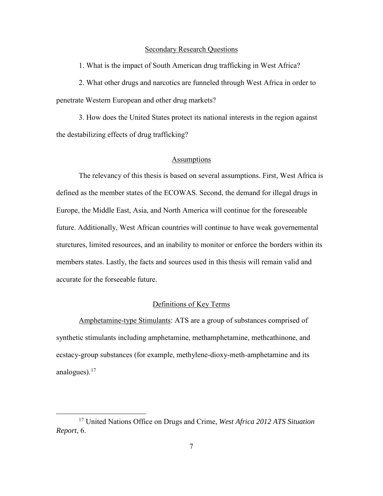#### Secondary Research Questions

1. What is the impact of South American drug trafficking in West Africa?

2. What other drugs and narcotics are funneled through West Africa in order to penetrate Western European and other drug markets?

3. How does the United States protect its national interests in the region against the destabilizing effects of drug trafficking?

## Assumptions

The relevancy of this thesis is based on several assumptions. First, West Africa is defined as the member states of the ECOWAS. Second, the demand for illegal drugs in Europe, the Middle East, Asia, and North America will continue for the foreseeable future. Additionally, West African countries will continue to have weak governemental sturctures, limited resources, and an inability to monitor or enforce the borders within its members states. Lastly, the facts and sources used in this thesis will remain valid and accurate for the forseeable future.

# Definitions of Key Terms

Amphetamine-type Stimulants: ATS are a group of substances comprised of synthetic stimulants including amphetamine, methamphetamine, methcathinone, and ecstacy-group substances (for example, methylene-dioxy-meth-amphetamine and its analogues).<sup>[17](#page-15-0)</sup>

<span id="page-15-0"></span> <sup>17</sup> United Nations Office on Drugs and Crime, *West Africa 2012 ATS Situation Report*, 6.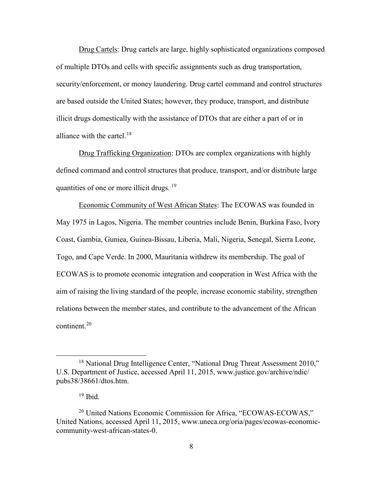Drug Cartels: Drug cartels are large, highly sophisticated organizations composed of multiple DTOs and cells with specific assignments such as drug transportation, security/enforcement, or money laundering. Drug cartel command and control structures are based outside the United States; however, they produce, transport, and distribute illicit drugs domestically with the assistance of DTOs that are either a part of or in alliance with the cartel.<sup>[18](#page-16-0)</sup>

Drug Trafficking Organization: DTOs are complex organizations with highly defined command and control structures that produce, transport, and/or distribute large quantities of one or more illicit drugs.<sup>[19](#page-16-1)</sup>

Economic Community of West African States: The ECOWAS was founded in May 1975 in Lagos, Nigeria. The member countries include Benin, Burkina Faso, Ivory Coast, Gambia, Guniea, Guinea-Bissau, Liberia, Mali, Nigeria, Senegal, Sierra Leone, Togo, and Cape Verde. In 2000, Mauritania withdrew its membership. The goal of ECOWAS is to promote economic integration and cooperation in West Africa with the aim of raising the living standard of the people, increase economic stability, strengthen relations between the member states, and contribute to the advancement of the African continent.<sup>[20](#page-16-2)</sup>

<span id="page-16-0"></span><sup>&</sup>lt;sup>18</sup> National Drug Intelligence Center, "National Drug Threat Assessment 2010," U.S. Department of Justice, accessed April 11, 2015, www.justice.gov/archive/ndic/ pubs38/38661/dtos.htm.

 $19$  Ibid.

<span id="page-16-2"></span><span id="page-16-1"></span><sup>&</sup>lt;sup>20</sup> United Nations Economic Commission for Africa, "ECOWAS-ECOWAS," United Nations, accessed April 11, 2015, www.uneca.org/oria/pages/ecowas-economiccommunity-west-african-states-0.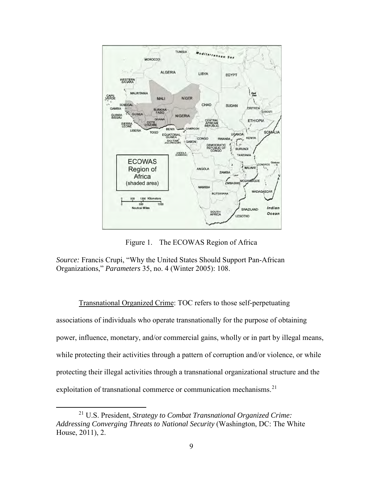

Figure 1. The ECOWAS Region of Africa

*Source:* Francis Crupi, "Why the United States Should Support Pan-African Organizations," *Parameters* 35, no. 4 (Winter 2005): 108.

Transnational Organized Crime: TOC refers to those self-perpetuating associations of individuals who operate transnationally for the purpose of obtaining power, influence, monetary, and/or commercial gains, wholly or in part by illegal means, while protecting their activities through a pattern of corruption and/or violence, or while protecting their illegal activities through a transnational organizational structure and the exploitation of transnational commerce or communication mechanisms.<sup>[21](#page-17-0)</sup>

<span id="page-17-0"></span> <sup>21</sup> U.S. President, *Strategy to Combat Transnational Organized Crime: Addressing Converging Threats to National Security* (Washington, DC: The White House, 2011), 2.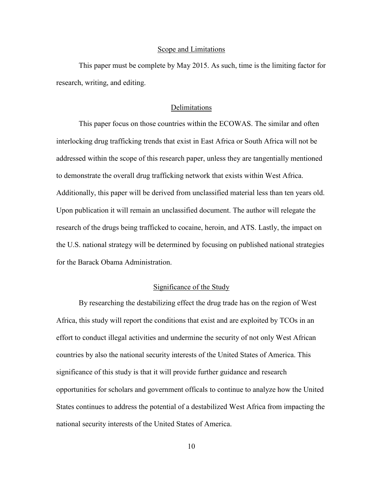#### Scope and Limitations

This paper must be complete by May 2015. As such, time is the limiting factor for research, writing, and editing.

## Delimitations

This paper focus on those countries within the ECOWAS. The similar and often interlocking drug trafficking trends that exist in East Africa or South Africa will not be addressed within the scope of this research paper, unless they are tangentially mentioned to demonstrate the overall drug trafficking network that exists within West Africa. Additionally, this paper will be derived from unclassified material less than ten years old. Upon publication it will remain an unclassified document. The author will relegate the research of the drugs being trafficked to cocaine, heroin, and ATS. Lastly, the impact on the U.S. national strategy will be determined by focusing on published national strategies for the Barack Obama Administration.

# Significance of the Study

By researching the destabilizing effect the drug trade has on the region of West Africa, this study will report the conditions that exist and are exploited by TCOs in an effort to conduct illegal activities and undermine the security of not only West African countries by also the national security interests of the United States of America. This significance of this study is that it will provide further guidance and research opportunities for scholars and government officals to continue to analyze how the United States continues to address the potential of a destabilized West Africa from impacting the national security interests of the United States of America.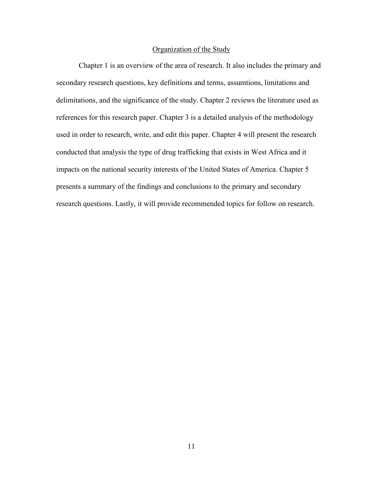# Organization of the Study

Chapter 1 is an overview of the area of research. It also includes the primary and secondary research questions, key definitions and terms, assumtions, limitations and delimitations, and the significance of the study. Chapter 2 reviews the literature used as references for this research paper. Chapter 3 is a detailed analysis of the methodology used in order to research, write, and edit this paper. Chapter 4 will present the research conducted that analysis the type of drug trafficking that exists in West Africa and it impacts on the national security interests of the United States of America. Chapter 5 presents a summary of the findings and conclusions to the primary and secondary research questions. Lastly, it will provide recommended topics for follow on research.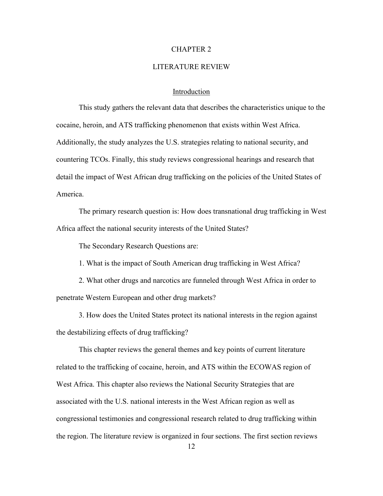## CHAPTER 2

#### LITERATURE REVIEW

### Introduction

This study gathers the relevant data that describes the characteristics unique to the cocaine, heroin, and ATS trafficking phenomenon that exists within West Africa. Additionally, the study analyzes the U.S. strategies relating to national security, and countering TCOs. Finally, this study reviews congressional hearings and research that detail the impact of West African drug trafficking on the policies of the United States of America.

The primary research question is: How does transnational drug trafficking in West Africa affect the national security interests of the United States?

The Secondary Research Questions are:

1. What is the impact of South American drug trafficking in West Africa?

2. What other drugs and narcotics are funneled through West Africa in order to penetrate Western European and other drug markets?

3. How does the United States protect its national interests in the region against the destabilizing effects of drug trafficking?

This chapter reviews the general themes and key points of current literature related to the trafficking of cocaine, heroin, and ATS within the ECOWAS region of West Africa. This chapter also reviews the National Security Strategies that are associated with the U.S. national interests in the West African region as well as congressional testimonies and congressional research related to drug trafficking within the region. The literature review is organized in four sections. The first section reviews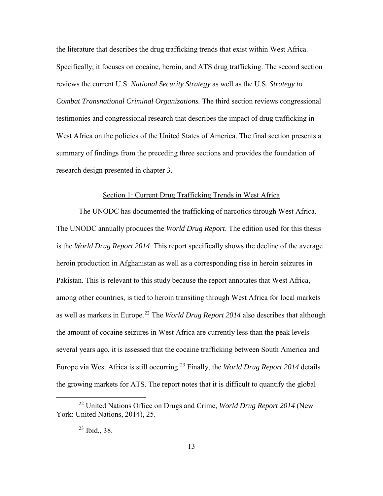the literature that describes the drug trafficking trends that exist within West Africa. Specifically, it focuses on cocaine, heroin, and ATS drug trafficking. The second section reviews the current U.S. *National Security Strategy* as well as the U.S. *Strategy to Combat Transnational Criminal Organizations.* The third section reviews congressional testimonies and congressional research that describes the impact of drug trafficking in West Africa on the policies of the United States of America. The final section presents a summary of findings from the preceding three sections and provides the foundation of research design presented in chapter 3.

#### Section 1: Current Drug Trafficking Trends in West Africa

The UNODC has documented the trafficking of narcotics through West Africa. The UNODC annually produces the *World Drug Report*. The edition used for this thesis is the *World Drug Report 2014*. This report specifically shows the decline of the average heroin production in Afghanistan as well as a corresponding rise in heroin seizures in Pakistan. This is relevant to this study because the report annotates that West Africa, among other countries, is tied to heroin transiting through West Africa for local markets as well as markets in Europe.<sup>[22](#page-21-0)</sup> The *World Drug Report 2014* also describes that although the amount of cocaine seizures in West Africa are currently less than the peak levels several years ago, it is assessed that the cocaine trafficking between South America and Europe via West Africa is still occurring.[23](#page-21-1) Finally, the *World Drug Report 2014* details the growing markets for ATS. The report notes that it is difficult to quantify the global

<span id="page-21-1"></span><span id="page-21-0"></span> <sup>22</sup> United Nations Office on Drugs and Crime, *World Drug Report 2014* (New York: United Nations, 2014), 25.

 $23$  Ibid., 38.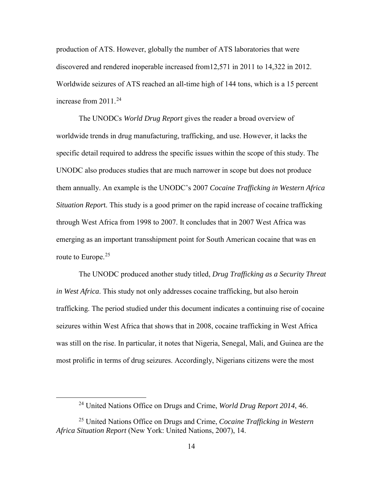production of ATS. However, globally the number of ATS laboratories that were discovered and rendered inoperable increased from12,571 in 2011 to 14,322 in 2012. Worldwide seizures of ATS reached an all-time high of 144 tons, which is a 15 percent increase from  $2011^{24}$  $2011^{24}$  $2011^{24}$ 

The UNODCs *World Drug Report* gives the reader a broad overview of worldwide trends in drug manufacturing, trafficking, and use. However, it lacks the specific detail required to address the specific issues within the scope of this study. The UNODC also produces studies that are much narrower in scope but does not produce them annually. An example is the UNODC's 2007 *Cocaine Trafficking in Western Africa Situation Repor*t. This study is a good primer on the rapid increase of cocaine trafficking through West Africa from 1998 to 2007. It concludes that in 2007 West Africa was emerging as an important transshipment point for South American cocaine that was en route to Europe.<sup>[25](#page-22-1)</sup>

The UNODC produced another study titled, *Drug Trafficking as a Security Threat in West Africa*. This study not only addresses cocaine trafficking, but also heroin trafficking. The period studied under this document indicates a continuing rise of cocaine seizures within West Africa that shows that in 2008, cocaine trafficking in West Africa was still on the rise. In particular, it notes that Nigeria, Senegal, Mali, and Guinea are the most prolific in terms of drug seizures. Accordingly, Nigerians citizens were the most

 <sup>24</sup> United Nations Office on Drugs and Crime, *World Drug Report 2014*, 46.

<span id="page-22-1"></span><span id="page-22-0"></span><sup>25</sup> United Nations Office on Drugs and Crime, *Cocaine Trafficking in Western Africa Situation Report* (New York: United Nations, 2007), 14.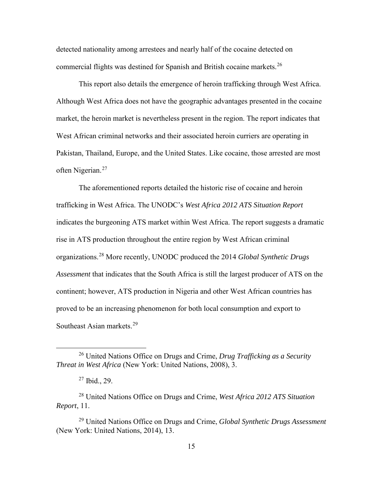detected nationality among arrestees and nearly half of the cocaine detected on commercial flights was destined for Spanish and British cocaine markets.<sup>[26](#page-23-0)</sup>

This report also details the emergence of heroin trafficking through West Africa. Although West Africa does not have the geographic advantages presented in the cocaine market, the heroin market is nevertheless present in the region. The report indicates that West African criminal networks and their associated heroin curriers are operating in Pakistan, Thailand, Europe, and the United States. Like cocaine, those arrested are most often Nigerian.[27](#page-23-1)

The aforementioned reports detailed the historic rise of cocaine and heroin trafficking in West Africa. The UNODC's *West Africa 2012 ATS Situation Report* indicates the burgeoning ATS market within West Africa. The report suggests a dramatic rise in ATS production throughout the entire region by West African criminal organizations.[28](#page-23-2) More recently, UNODC produced the 2014 *Global Synthetic Drugs Assessment* that indicates that the South Africa is still the largest producer of ATS on the continent; however, ATS production in Nigeria and other West African countries has proved to be an increasing phenomenon for both local consumption and export to Southeast Asian markets.<sup>[29](#page-23-3)</sup>

<span id="page-23-0"></span> <sup>26</sup> United Nations Office on Drugs and Crime, *Drug Trafficking as a Security Threat in West Africa* (New York: United Nations, 2008), 3.

 $27$  Ibid., 29.

<span id="page-23-2"></span><span id="page-23-1"></span><sup>28</sup> United Nations Office on Drugs and Crime, *West Africa 2012 ATS Situation Report*, 11.

<span id="page-23-3"></span><sup>29</sup> United Nations Office on Drugs and Crime, *Global Synthetic Drugs Assessment* (New York: United Nations, 2014), 13.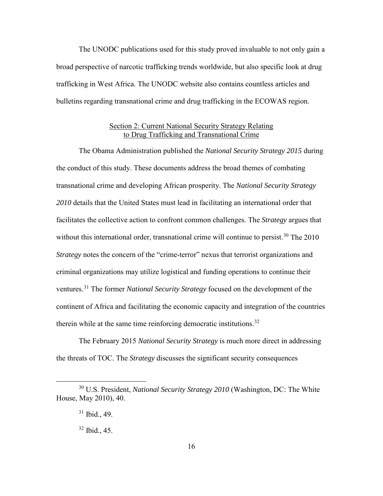The UNODC publications used for this study proved invaluable to not only gain a broad perspective of narcotic trafficking trends worldwide, but also specific look at drug trafficking in West Africa. The UNODC website also contains countless articles and bulletins regarding transnational crime and drug trafficking in the ECOWAS region.

# Section 2: Current National Security Strategy Relating to Drug Trafficking and Transnational Crime

The Obama Administration published the *National Security Strategy 2015* during the conduct of this study. These documents address the broad themes of combating transnational crime and developing African prosperity. The *National Security Strategy 2010* details that the United States must lead in facilitating an international order that facilitates the collective action to confront common challenges. The *Strategy* argues that without this international order, transnational crime will continue to persist.<sup>30</sup> The  $2010$ *Strategy* notes the concern of the "crime-terror" nexus that terrorist organizations and criminal organizations may utilize logistical and funding operations to continue their ventures.[31](#page-24-1) The former *National Security Strategy* focused on the development of the continent of Africa and facilitating the economic capacity and integration of the countries therein while at the same time reinforcing democratic institutions.<sup>[32](#page-24-2)</sup>

The February 2015 *National Security Strategy* is much more direct in addressing the threats of TOC. The *Strategy* discusses the significant security consequences

<span id="page-24-2"></span><span id="page-24-1"></span><span id="page-24-0"></span> <sup>30</sup> U.S. President, *National Security Strategy 2010* (Washington, DC: The White House, May 2010), 40.

 $31$  Ibid., 49.

 $32$  Ibid., 45.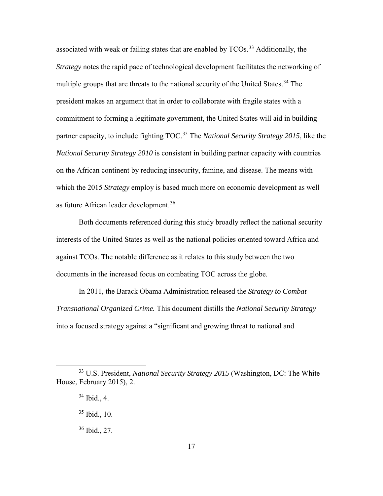associated with weak or failing states that are enabled by  $TCOs.<sup>33</sup>$  $TCOs.<sup>33</sup>$  $TCOs.<sup>33</sup>$  Additionally, the *Strategy* notes the rapid pace of technological development facilitates the networking of multiple groups that are threats to the national security of the United States.<sup>[34](#page-25-1)</sup> The president makes an argument that in order to collaborate with fragile states with a commitment to forming a legitimate government, the United States will aid in building partner capacity, to include fighting TOC. [35](#page-25-2) The *National Security Strategy 2015*, like the *National Security Strategy 2010* is consistent in building partner capacity with countries on the African continent by reducing insecurity, famine, and disease. The means with which the 2015 *Strategy* employ is based much more on economic development as well as future African leader development.<sup>[36](#page-25-3)</sup>

Both documents referenced during this study broadly reflect the national security interests of the United States as well as the national policies oriented toward Africa and against TCOs. The notable difference as it relates to this study between the two documents in the increased focus on combating TOC across the globe.

In 2011, the Barack Obama Administration released the *Strategy to Combat Transnational Organized Crime.* This document distills the *National Security Strategy* into a focused strategy against a "significant and growing threat to national and

<span id="page-25-2"></span><span id="page-25-1"></span><span id="page-25-0"></span> <sup>33</sup> U.S. President, *National Security Strategy 2015* (Washington, DC: The White House, February 2015), 2.

 $34$  Ibid., 4.

<sup>35</sup> Ibid., 10.

<span id="page-25-3"></span><sup>36</sup> Ibid., 27.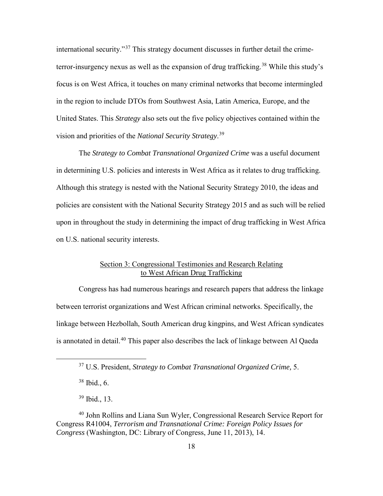international security."[37](#page-26-0) This strategy document discusses in further detail the crime-terror-insurgency nexus as well as the expansion of drug trafficking.<sup>[38](#page-26-1)</sup> While this study's focus is on West Africa, it touches on many criminal networks that become intermingled in the region to include DTOs from Southwest Asia, Latin America, Europe, and the United States. This *Strategy* also sets out the five policy objectives contained within the vision and priorities of the *National Security Strategy*. [39](#page-26-2)

The *Strategy to Combat Transnational Organized Crime* was a useful document in determining U.S. policies and interests in West Africa as it relates to drug trafficking. Although this strategy is nested with the National Security Strategy 2010, the ideas and policies are consistent with the National Security Strategy 2015 and as such will be relied upon in throughout the study in determining the impact of drug trafficking in West Africa on U.S. national security interests.

# Section 3: Congressional Testimonies and Research Relating to West African Drug Trafficking

Congress has had numerous hearings and research papers that address the linkage between terrorist organizations and West African criminal networks. Specifically, the linkage between Hezbollah, South American drug kingpins, and West African syndicates is annotated in detail.<sup>[40](#page-26-3)</sup> This paper also describes the lack of linkage between Al Qaeda

 $38$  Ibid., 6.

39 Ibid., 13.

 <sup>37</sup> U.S. President, *Strategy to Combat Transnational Organized Crime,* 5.

<span id="page-26-3"></span><span id="page-26-2"></span><span id="page-26-1"></span><span id="page-26-0"></span><sup>40</sup> John Rollins and Liana Sun Wyler, Congressional Research Service Report for Congress R41004, *Terrorism and Transnational Crime: Foreign Policy Issues for Congress* (Washington, DC: Library of Congress, June 11, 2013), 14.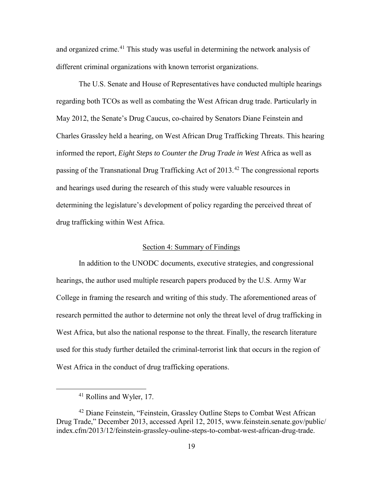and organized crime.<sup>41</sup> This study was useful in determining the network analysis of different criminal organizations with known terrorist organizations.

The U.S. Senate and House of Representatives have conducted multiple hearings regarding both TCOs as well as combating the West African drug trade. Particularly in May 2012, the Senate's Drug Caucus, co-chaired by Senators Diane Feinstein and Charles Grassley held a hearing, on West African Drug Trafficking Threats. This hearing informed the report, *Eight Steps to Counter the Drug Trade in West* Africa as well as passing of the Transnational Drug Trafficking Act of 2013.<sup>42</sup> The congressional reports and hearings used during the research of this study were valuable resources in determining the legislature's development of policy regarding the perceived threat of drug trafficking within West Africa.

### Section 4: Summary of Findings

In addition to the UNODC documents, executive strategies, and congressional hearings, the author used multiple research papers produced by the U.S. Army War College in framing the research and writing of this study. The aforementioned areas of research permitted the author to determine not only the threat level of drug trafficking in West Africa, but also the national response to the threat. Finally, the research literature used for this study further detailed the criminal-terrorist link that occurs in the region of West Africa in the conduct of drug trafficking operations.

 <sup>41</sup> Rollins and Wyler, 17.

<span id="page-27-1"></span><span id="page-27-0"></span><sup>42</sup> Diane Feinstein, "Feinstein, Grassley Outline Steps to Combat West African Drug Trade," December 2013, accessed April 12, 2015, www.feinstein.senate.gov/public/ index.cfm/2013/12/feinstein-grassley-ouline-steps-to-combat-west-african-drug-trade.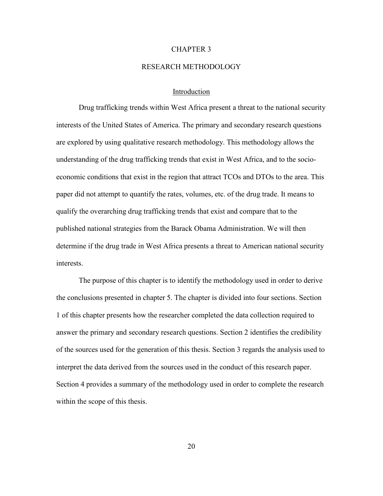#### CHAPTER 3

# RESEARCH METHODOLOGY

## Introduction

Drug trafficking trends within West Africa present a threat to the national security interests of the United States of America. The primary and secondary research questions are explored by using qualitative research methodology. This methodology allows the understanding of the drug trafficking trends that exist in West Africa, and to the socioeconomic conditions that exist in the region that attract TCOs and DTOs to the area. This paper did not attempt to quantify the rates, volumes, etc. of the drug trade. It means to qualify the overarching drug trafficking trends that exist and compare that to the published national strategies from the Barack Obama Administration. We will then determine if the drug trade in West Africa presents a threat to American national security interests.

The purpose of this chapter is to identify the methodology used in order to derive the conclusions presented in chapter 5. The chapter is divided into four sections. Section 1 of this chapter presents how the researcher completed the data collection required to answer the primary and secondary research questions. Section 2 identifies the credibility of the sources used for the generation of this thesis. Section 3 regards the analysis used to interpret the data derived from the sources used in the conduct of this research paper. Section 4 provides a summary of the methodology used in order to complete the research within the scope of this thesis.

20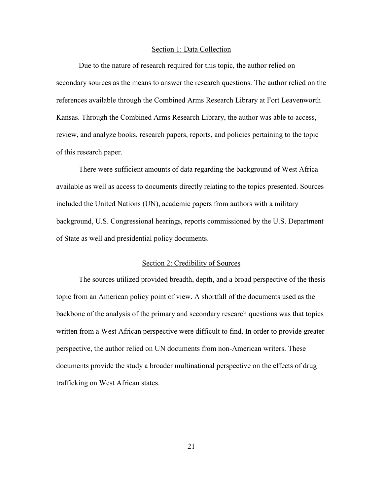#### Section 1: Data Collection

Due to the nature of research required for this topic, the author relied on secondary sources as the means to answer the research questions. The author relied on the references available through the Combined Arms Research Library at Fort Leavenworth Kansas. Through the Combined Arms Research Library, the author was able to access, review, and analyze books, research papers, reports, and policies pertaining to the topic of this research paper.

There were sufficient amounts of data regarding the background of West Africa available as well as access to documents directly relating to the topics presented. Sources included the United Nations (UN), academic papers from authors with a military background, U.S. Congressional hearings, reports commissioned by the U.S. Department of State as well and presidential policy documents.

#### Section 2: Credibility of Sources

The sources utilized provided breadth, depth, and a broad perspective of the thesis topic from an American policy point of view. A shortfall of the documents used as the backbone of the analysis of the primary and secondary research questions was that topics written from a West African perspective were difficult to find. In order to provide greater perspective, the author relied on UN documents from non-American writers. These documents provide the study a broader multinational perspective on the effects of drug trafficking on West African states.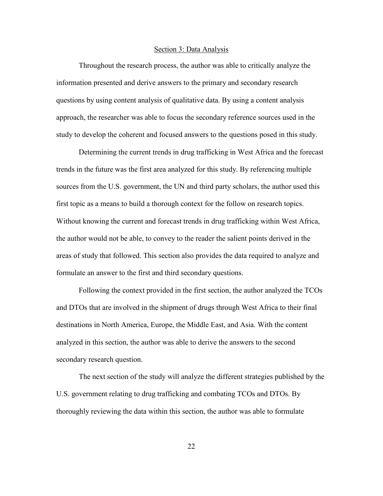#### Section 3: Data Analysis

Throughout the research process, the author was able to critically analyze the information presented and derive answers to the primary and secondary research questions by using content analysis of qualitative data. By using a content analysis approach, the researcher was able to focus the secondary reference sources used in the study to develop the coherent and focused answers to the questions posed in this study.

Determining the current trends in drug trafficking in West Africa and the forecast trends in the future was the first area analyzed for this study. By referencing multiple sources from the U.S. government, the UN and third party scholars, the author used this first topic as a means to build a thorough context for the follow on research topics. Without knowing the current and forecast trends in drug trafficking within West Africa, the author would not be able, to convey to the reader the salient points derived in the areas of study that followed. This section also provides the data required to analyze and formulate an answer to the first and third secondary questions.

Following the context provided in the first section, the author analyzed the TCOs and DTOs that are involved in the shipment of drugs through West Africa to their final destinations in North America, Europe, the Middle East, and Asia. With the content analyzed in this section, the author was able to derive the answers to the second secondary research question.

The next section of the study will analyze the different strategies published by the U.S. government relating to drug trafficking and combating TCOs and DTOs. By thoroughly reviewing the data within this section, the author was able to formulate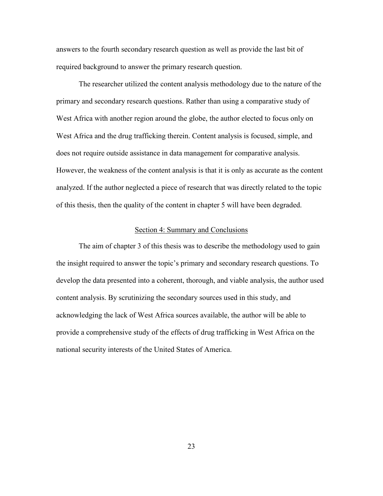answers to the fourth secondary research question as well as provide the last bit of required background to answer the primary research question.

The researcher utilized the content analysis methodology due to the nature of the primary and secondary research questions. Rather than using a comparative study of West Africa with another region around the globe, the author elected to focus only on West Africa and the drug trafficking therein. Content analysis is focused, simple, and does not require outside assistance in data management for comparative analysis. However, the weakness of the content analysis is that it is only as accurate as the content analyzed. If the author neglected a piece of research that was directly related to the topic of this thesis, then the quality of the content in chapter 5 will have been degraded.

## Section 4: Summary and Conclusions

The aim of chapter 3 of this thesis was to describe the methodology used to gain the insight required to answer the topic's primary and secondary research questions. To develop the data presented into a coherent, thorough, and viable analysis, the author used content analysis. By scrutinizing the secondary sources used in this study, and acknowledging the lack of West Africa sources available, the author will be able to provide a comprehensive study of the effects of drug trafficking in West Africa on the national security interests of the United States of America.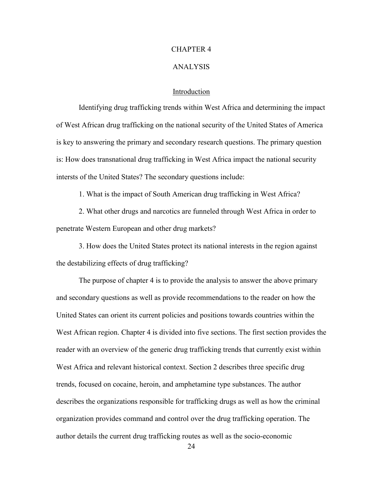## CHAPTER 4

#### ANALYSIS

## Introduction

Identifying drug trafficking trends within West Africa and determining the impact of West African drug trafficking on the national security of the United States of America is key to answering the primary and secondary research questions. The primary question is: How does transnational drug trafficking in West Africa impact the national security intersts of the United States? The secondary questions include:

1. What is the impact of South American drug trafficking in West Africa?

2. What other drugs and narcotics are funneled through West Africa in order to penetrate Western European and other drug markets?

3. How does the United States protect its national interests in the region against the destabilizing effects of drug trafficking?

The purpose of chapter 4 is to provide the analysis to answer the above primary and secondary questions as well as provide recommendations to the reader on how the United States can orient its current policies and positions towards countries within the West African region. Chapter 4 is divided into five sections. The first section provides the reader with an overview of the generic drug trafficking trends that currently exist within West Africa and relevant historical context. Section 2 describes three specific drug trends, focused on cocaine, heroin, and amphetamine type substances. The author describes the organizations responsible for trafficking drugs as well as how the criminal organization provides command and control over the drug trafficking operation. The author details the current drug trafficking routes as well as the socio-economic

24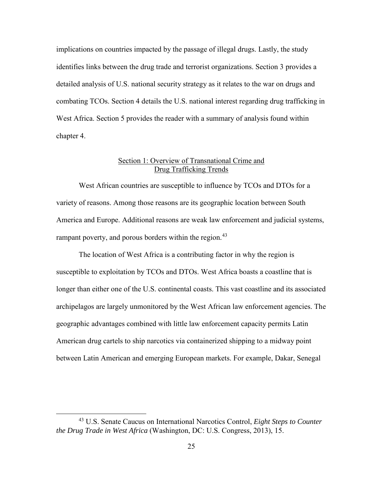implications on countries impacted by the passage of illegal drugs. Lastly, the study identifies links between the drug trade and terrorist organizations. Section 3 provides a detailed analysis of U.S. national security strategy as it relates to the war on drugs and combating TCOs. Section 4 details the U.S. national interest regarding drug trafficking in West Africa. Section 5 provides the reader with a summary of analysis found within chapter 4.

# Section 1: Overview of Transnational Crime and Drug Trafficking Trends

West African countries are susceptible to influence by TCOs and DTOs for a variety of reasons. Among those reasons are its geographic location between South America and Europe. Additional reasons are weak law enforcement and judicial systems, rampant poverty, and porous borders within the region.<sup>[43](#page-33-0)</sup>

The location of West Africa is a contributing factor in why the region is susceptible to exploitation by TCOs and DTOs. West Africa boasts a coastline that is longer than either one of the U.S. continental coasts. This vast coastline and its associated archipelagos are largely unmonitored by the West African law enforcement agencies. The geographic advantages combined with little law enforcement capacity permits Latin American drug cartels to ship narcotics via containerized shipping to a midway point between Latin American and emerging European markets. For example, Dakar, Senegal

<span id="page-33-0"></span> <sup>43</sup> U.S. Senate Caucus on International Narcotics Control, *Eight Steps to Counter the Drug Trade in West Africa* (Washington, DC: U.S. Congress, 2013), 15.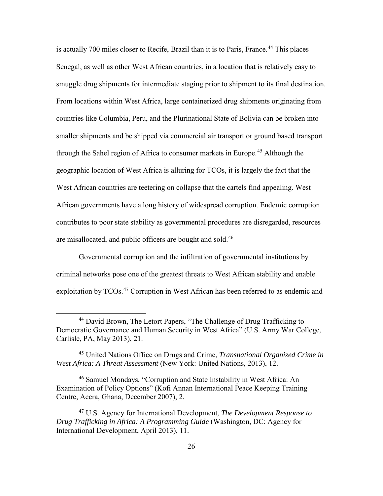is actually 700 miles closer to Recife, Brazil than it is to Paris, France.<sup>[44](#page-34-0)</sup> This places Senegal, as well as other West African countries, in a location that is relatively easy to smuggle drug shipments for intermediate staging prior to shipment to its final destination. From locations within West Africa, large containerized drug shipments originating from countries like Columbia, Peru, and the Plurinational State of Bolivia can be broken into smaller shipments and be shipped via commercial air transport or ground based transport through the Sahel region of Africa to consumer markets in Europe.[45](#page-34-1) Although the geographic location of West Africa is alluring for TCOs, it is largely the fact that the West African countries are teetering on collapse that the cartels find appealing. West African governments have a long history of widespread corruption. Endemic corruption contributes to poor state stability as governmental procedures are disregarded, resources are misallocated, and public officers are bought and sold.<sup>[46](#page-34-2)</sup>

Governmental corruption and the infiltration of governmental institutions by criminal networks pose one of the greatest threats to West African stability and enable exploitation by TCOs.<sup>47</sup> Corruption in West African has been referred to as endemic and

<span id="page-34-0"></span> <sup>44</sup> David Brown, The Letort Papers, "The Challenge of Drug Trafficking to Democratic Governance and Human Security in West Africa" (U.S. Army War College, Carlisle, PA, May 2013), 21.

<span id="page-34-1"></span><sup>45</sup> United Nations Office on Drugs and Crime, *Transnational Organized Crime in West Africa: A Threat Assessment* (New York: United Nations, 2013), 12.

<span id="page-34-2"></span><sup>46</sup> Samuel Mondays, "Corruption and State Instability in West Africa: An Examination of Policy Options" (Kofi Annan International Peace Keeping Training Centre, Accra, Ghana, December 2007), 2.

<span id="page-34-3"></span><sup>47</sup> U.S. Agency for International Development, *The Development Response to Drug Trafficking in Africa: A Programming Guide* (Washington, DC: Agency for International Development, April 2013), 11.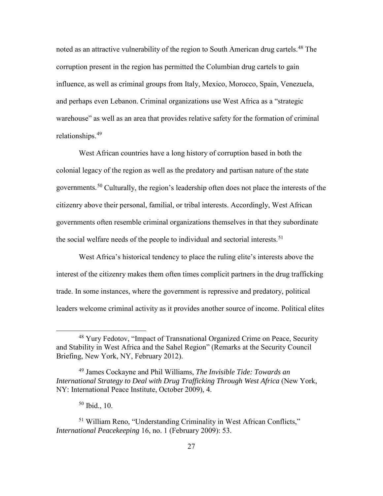noted as an attractive vulnerability of the region to South American drug cartels.<sup>[48](#page-35-0)</sup> The corruption present in the region has permitted the Columbian drug cartels to gain influence, as well as criminal groups from Italy, Mexico, Morocco, Spain, Venezuela, and perhaps even Lebanon. Criminal organizations use West Africa as a "strategic warehouse" as well as an area that provides relative safety for the formation of criminal relationships.[49](#page-35-1)

West African countries have a long history of corruption based in both the colonial legacy of the region as well as the predatory and partisan nature of the state governments.<sup>50</sup> Culturally, the region's leadership often does not place the interests of the citizenry above their personal, familial, or tribal interests. Accordingly, West African governments often resemble criminal organizations themselves in that they subordinate the social welfare needs of the people to individual and sectorial interests.<sup>[51](#page-35-3)</sup>

West Africa's historical tendency to place the ruling elite's interests above the interest of the citizenry makes them often times complicit partners in the drug trafficking trade. In some instances, where the government is repressive and predatory, political leaders welcome criminal activity as it provides another source of income. Political elites

<span id="page-35-0"></span> <sup>48</sup> Yury Fedotov, "Impact of Transnational Organized Crime on Peace, Security and Stability in West Africa and the Sahel Region" (Remarks at the Security Council Briefing, New York, NY, February 2012).

<span id="page-35-1"></span><sup>49</sup> James Cockayne and Phil Williams, *The Invisible Tide: Towards an International Strategy to Deal with Drug Trafficking Through West Africa* (New York, NY: International Peace Institute, October 2009), 4.

 $50$  Ibid., 10.

<span id="page-35-3"></span><span id="page-35-2"></span><sup>51</sup> William Reno, "Understanding Criminality in West African Conflicts," *International Peacekeeping* 16, no. 1 (February 2009): 53.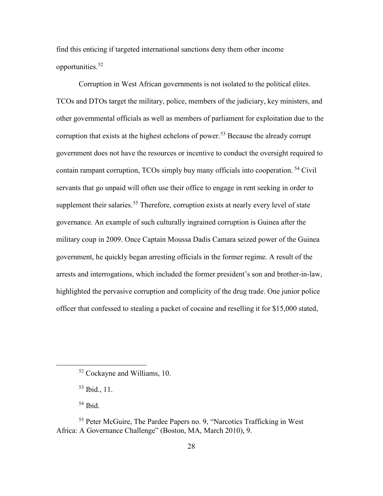find this enticing if targeted international sanctions deny them other income opportunities.[52](#page-36-0)

Corruption in West African governments is not isolated to the political elites. TCOs and DTOs target the military, police, members of the judiciary, key ministers, and other governmental officials as well as members of parliament for exploitation due to the corruption that exists at the highest echelons of power.<sup>[53](#page-36-1)</sup> Because the already corrupt government does not have the resources or incentive to conduct the oversight required to contain rampant corruption, TCOs simply buy many officials into cooperation. [54](#page-36-2) Civil servants that go unpaid will often use their office to engage in rent seeking in order to supplement their salaries.<sup>[55](#page-36-3)</sup> Therefore, corruption exists at nearly every level of state governance. An example of such culturally ingrained corruption is Guinea after the military coup in 2009. Once Captain Moussa Dadis Camara seized power of the Guinea government, he quickly began arresting officials in the former regime. A result of the arrests and interrogations, which included the former president's son and brother-in-law, highlighted the pervasive corruption and complicity of the drug trade. One junior police officer that confessed to stealing a packet of cocaine and reselling it for \$15,000 stated,

53 Ibid., 11.

 $54$  Ibid.

 <sup>52</sup> Cockayne and Williams, 10.

<span id="page-36-3"></span><span id="page-36-2"></span><span id="page-36-1"></span><span id="page-36-0"></span><sup>55</sup> Peter McGuire, The Pardee Papers no. 9, "Narcotics Trafficking in West Africa: A Governance Challenge" (Boston, MA, March 2010), 9.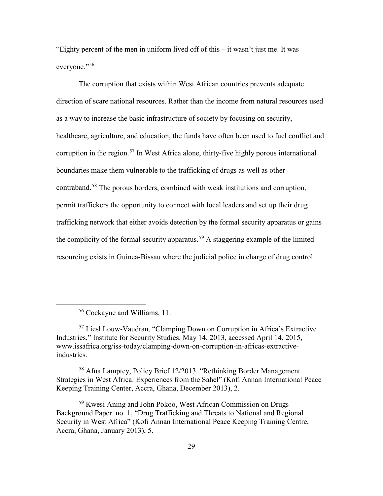"Eighty percent of the men in uniform lived off of this  $-$  it wasn't just me. It was everyone."[56](#page-37-0)

The corruption that exists within West African countries prevents adequate direction of scare national resources. Rather than the income from natural resources used as a way to increase the basic infrastructure of society by focusing on security, healthcare, agriculture, and education, the funds have often been used to fuel conflict and corruption in the region.<sup>[57](#page-37-1)</sup> In West Africa alone, thirty-five highly porous international boundaries make them vulnerable to the trafficking of drugs as well as other contraband.[58](#page-37-2) The porous borders, combined with weak institutions and corruption, permit traffickers the opportunity to connect with local leaders and set up their drug trafficking network that either avoids detection by the formal security apparatus or gains the complicity of the formal security apparatus.<sup>[59](#page-37-3)</sup> A staggering example of the limited resourcing exists in Guinea-Bissau where the judicial police in charge of drug control

 <sup>56</sup> Cockayne and Williams, 11.

<span id="page-37-1"></span><span id="page-37-0"></span><sup>57</sup> Liesl Louw-Vaudran, "Clamping Down on Corruption in Africa's Extractive Industries," Institute for Security Studies, May 14, 2013, accessed April 14, 2015, www.issafrica.org/iss-today/clamping-down-on-corruption-in-africas-extractiveindustries.

<span id="page-37-2"></span><sup>58</sup> Afua Lamptey, Policy Brief 12/2013. "Rethinking Border Management Strategies in West Africa: Experiences from the Sahel" (Kofi Annan International Peace Keeping Training Center, Accra, Ghana, December 2013), 2.

<span id="page-37-3"></span><sup>59</sup> Kwesi Aning and John Pokoo, West African Commission on Drugs Background Paper. no. 1, "Drug Trafficking and Threats to National and Regional Security in West Africa" (Kofi Annan International Peace Keeping Training Centre, Accra, Ghana, January 2013), 5.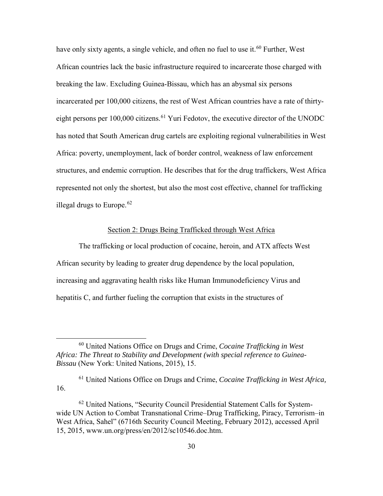have only sixty agents, a single vehicle, and often no fuel to use it.<sup>[60](#page-38-0)</sup> Further, West African countries lack the basic infrastructure required to incarcerate those charged with breaking the law. Excluding Guinea-Bissau, which has an abysmal six persons incarcerated per 100,000 citizens, the rest of West African countries have a rate of thirtyeight persons per  $100,000$  citizens.<sup>[61](#page-38-1)</sup> Yuri Fedotov, the executive director of the UNODC has noted that South American drug cartels are exploiting regional vulnerabilities in West Africa: poverty, unemployment, lack of border control, weakness of law enforcement structures, and endemic corruption. He describes that for the drug traffickers, West Africa represented not only the shortest, but also the most cost effective, channel for trafficking illegal drugs to Europe. $62$ 

# Section 2: Drugs Being Trafficked through West Africa

The trafficking or local production of cocaine, heroin, and ATX affects West African security by leading to greater drug dependence by the local population, increasing and aggravating health risks like Human Immunodeficiency Virus and hepatitis C, and further fueling the corruption that exists in the structures of

<span id="page-38-0"></span> <sup>60</sup> United Nations Office on Drugs and Crime, *Cocaine Trafficking in West Africa: The Threat to Stability and Development (with special reference to Guinea-Bissau* (New York: United Nations, 2015), 15.

<span id="page-38-1"></span><sup>61</sup> United Nations Office on Drugs and Crime, *Cocaine Trafficking in West Africa,* 16.

<span id="page-38-2"></span><sup>62</sup> United Nations, "Security Council Presidential Statement Calls for Systemwide UN Action to Combat Transnational Crime–Drug Trafficking, Piracy, Terrorism–in West Africa, Sahel" (6716th Security Council Meeting, February 2012), accessed April 15, 2015, www.un.org/press/en/2012/sc10546.doc.htm.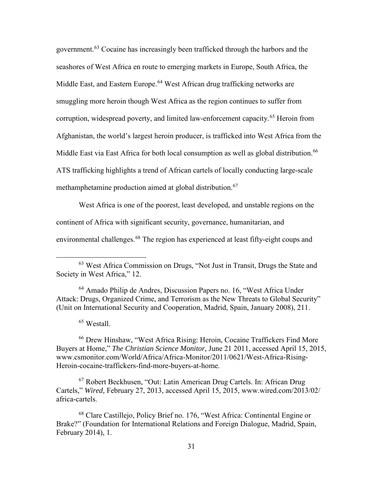government.[63](#page-39-0) Cocaine has increasingly been trafficked through the harbors and the seashores of West Africa en route to emerging markets in Europe, South Africa, the Middle East, and Eastern Europe.<sup>[64](#page-39-1)</sup> West African drug trafficking networks are smuggling more heroin though West Africa as the region continues to suffer from corruption, widespread poverty, and limited law-enforcement capacity.<sup>65</sup> Heroin from Afghanistan, the world's largest heroin producer, is trafficked into West Africa from the Middle East via East Africa for both local consumption as well as global distribution.<sup>[66](#page-39-3)</sup> ATS trafficking highlights a trend of African cartels of locally conducting large-scale methamphetamine production aimed at global distribution.<sup>[67](#page-39-4)</sup>

West Africa is one of the poorest, least developed, and unstable regions on the continent of Africa with significant security, governance, humanitarian, and environmental challenges.[68](#page-39-5) The region has experienced at least fifty-eight coups and

<span id="page-39-1"></span>64 Amado Philip de Andres, Discussion Papers no. 16, "West Africa Under Attack: Drugs, Organized Crime, and Terrorism as the New Threats to Global Security" (Unit on International Security and Cooperation, Madrid, Spain, January 2008), 211.

<sup>65</sup> Westall.

<span id="page-39-3"></span><span id="page-39-2"></span><sup>66</sup> Drew Hinshaw, "West Africa Rising: Heroin, Cocaine Traffickers Find More Buyers at Home," *The Christian Science Monitor,* June 21 2011, accessed April 15, 2015, www.csmonitor.com/World/Africa/Africa-Monitor/2011/0621/West-Africa-Rising-Heroin-cocaine-traffickers-find-more-buyers-at-home.

<span id="page-39-4"></span>67 Robert Beckhusen, "Out: Latin American Drug Cartels. In: African Drug Cartels," *Wired,* February 27, 2013, accessed April 15, 2015, www.wired.com/2013/02/ africa-cartels.

<span id="page-39-5"></span>68 Clare Castillejo, Policy Brief no. 176, "West Africa: Continental Engine or Brake?" (Foundation for International Relations and Foreign Dialogue, Madrid, Spain, February 2014), 1.

<span id="page-39-0"></span> <sup>63</sup> West Africa Commission on Drugs, "Not Just in Transit, Drugs the State and Society in West Africa," 12.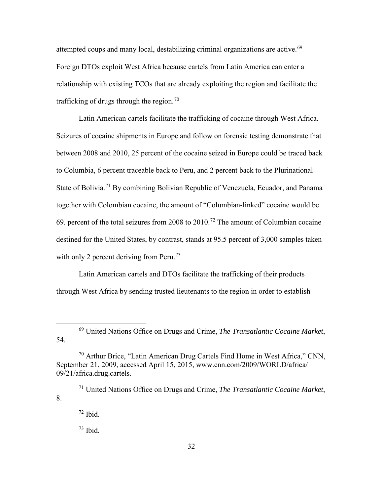attempted coups and many local, destabilizing criminal organizations are active.<sup>[69](#page-40-0)</sup> Foreign DTOs exploit West Africa because cartels from Latin America can enter a relationship with existing TCOs that are already exploiting the region and facilitate the trafficking of drugs through the region.<sup>[70](#page-40-1)</sup>

Latin American cartels facilitate the trafficking of cocaine through West Africa. Seizures of cocaine shipments in Europe and follow on forensic testing demonstrate that between 2008 and 2010, 25 percent of the cocaine seized in Europe could be traced back to Columbia, 6 percent traceable back to Peru, and 2 percent back to the Plurinational State of Bolivia.<sup>[71](#page-40-2)</sup> By combining Bolivian Republic of Venezuela, Ecuador, and Panama together with Colombian cocaine, the amount of "Columbian-linked" cocaine would be 69. percent of the total seizures from 2008 to 2010.<sup>[72](#page-40-3)</sup> The amount of Columbian cocaine destined for the United States, by contrast, stands at 95.5 percent of 3,000 samples taken with only 2 percent deriving from Peru.<sup>73</sup>

Latin American cartels and DTOs facilitate the trafficking of their products through West Africa by sending trusted lieutenants to the region in order to establish

<span id="page-40-0"></span> <sup>69</sup> United Nations Office on Drugs and Crime, *The Transatlantic Cocaine Market*, 54.

<span id="page-40-1"></span> $70$  Arthur Brice, "Latin American Drug Cartels Find Home in West Africa," CNN, September 21, 2009, accessed April 15, 2015, www.cnn.com/2009/WORLD/africa/ 09/21/africa.drug.cartels.

<span id="page-40-4"></span><span id="page-40-3"></span><span id="page-40-2"></span><sup>71</sup> United Nations Office on Drugs and Crime, *The Transatlantic Cocaine Market*, 8.

 $72$  Ibid.

 $73$  Ibid.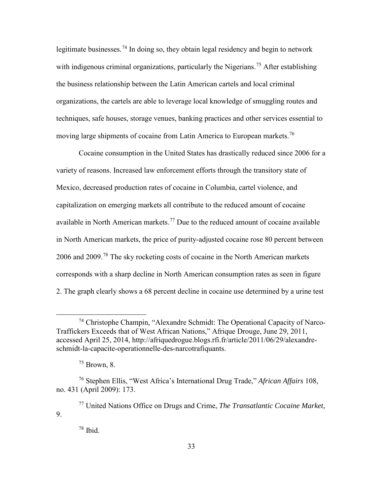legitimate businesses.<sup>[74](#page-41-0)</sup> In doing so, they obtain legal residency and begin to network with indigenous criminal organizations, particularly the Nigerians.<sup>[75](#page-41-1)</sup> After establishing the business relationship between the Latin American cartels and local criminal organizations, the cartels are able to leverage local knowledge of smuggling routes and techniques, safe houses, storage venues, banking practices and other services essential to moving large shipments of cocaine from Latin America to European markets.<sup>76</sup>

Cocaine consumption in the United States has drastically reduced since 2006 for a variety of reasons. Increased law enforcement efforts through the transitory state of Mexico, decreased production rates of cocaine in Columbia, cartel violence, and capitalization on emerging markets all contribute to the reduced amount of cocaine available in North American markets.<sup>77</sup> Due to the reduced amount of cocaine available in North American markets, the price of purity-adjusted cocaine rose 80 percent between 2006 and 2009.[78](#page-41-4) The sky rocketing costs of cocaine in the North American markets corresponds with a sharp decline in North American consumption rates as seen in figure 2. The graph clearly shows a 68 percent decline in cocaine use determined by a urine test

<span id="page-41-0"></span> <sup>74</sup> Christophe Champin, "Alexandre Schmidt: The Operational Capacity of Narco-Traffickers Exceeds that of West African Nations," Afrique Drouge, June 29, 2011, accessed April 25, 2014, http://afriquedrogue.blogs.rfi.fr/article/2011/06/29/alexandreschmidt-la-capacite-operationnelle-des-narcotrafiquants.

 $75$  Brown, 8.

<span id="page-41-2"></span><span id="page-41-1"></span><sup>76</sup> Stephen Ellis, "West Africa's International Drug Trade," *African Affairs* 108, no. 431 (April 2009): 173.

<span id="page-41-4"></span><span id="page-41-3"></span><sup>77</sup> United Nations Office on Drugs and Crime, *The Transatlantic Cocaine Market*, 9.

 $78$  Ibid.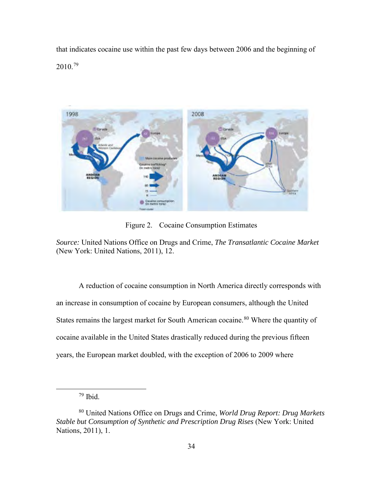that indicates cocaine use within the past few days between 2006 and the beginning of 2010.[79](#page-42-0) 



Figure 2. Cocaine Consumption Estimates

*Source:* United Nations Office on Drugs and Crime, *The Transatlantic Cocaine Market* (New York: United Nations, 2011), 12.

A reduction of cocaine consumption in North America directly corresponds with an increase in consumption of cocaine by European consumers, although the United States remains the largest market for South American cocaine. [80](#page-42-1) Where the quantity of cocaine available in the United States drastically reduced during the previous fifteen years, the European market doubled, with the exception of 2006 to 2009 where

 $79$  Ibid.

<span id="page-42-1"></span><span id="page-42-0"></span><sup>80</sup> United Nations Office on Drugs and Crime, *World Drug Report: Drug Markets Stable but Consumption of Synthetic and Prescription Drug Rises* (New York: United Nations, 2011), 1.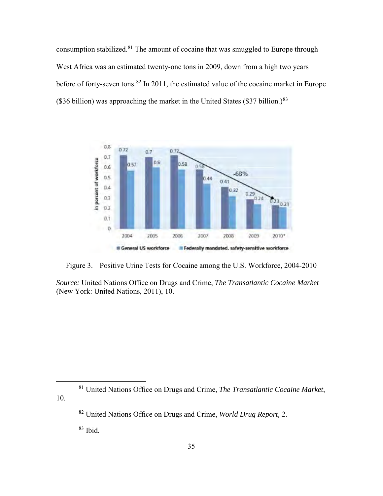consumption stabilized.<sup>81</sup> The amount of cocaine that was smuggled to Europe through West Africa was an estimated twenty-one tons in 2009, down from a high two years before of forty-seven tons.<sup>82</sup> In 2011, the estimated value of the cocaine market in Europe (\$36 billion) was approaching the market in the United States (\$37 billion.) $83$ 



Figure 3. Positive Urine Tests for Cocaine among the U.S. Workforce, 2004-2010

*Source:* United Nations Office on Drugs and Crime, *The Transatlantic Cocaine Market* (New York: United Nations, 2011), 10.

<span id="page-43-2"></span><span id="page-43-1"></span><span id="page-43-0"></span> 81 United Nations Office on Drugs and Crime, *The Transatlantic Cocaine Market*, 10.

<sup>82</sup> United Nations Office on Drugs and Crime, *World Drug Report,* 2.

<sup>83</sup> Ibid.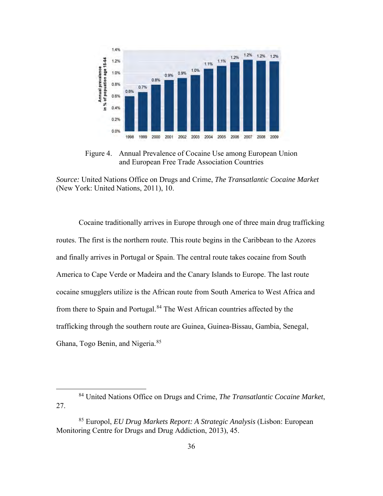

Figure 4. Annual Prevalence of Cocaine Use among European Union and European Free Trade Association Countries

*Source:* United Nations Office on Drugs and Crime, *The Transatlantic Cocaine Market* (New York: United Nations, 2011), 10.

Cocaine traditionally arrives in Europe through one of three main drug trafficking routes. The first is the northern route. This route begins in the Caribbean to the Azores and finally arrives in Portugal or Spain. The central route takes cocaine from South America to Cape Verde or Madeira and the Canary Islands to Europe. The last route cocaine smugglers utilize is the African route from South America to West Africa and from there to Spain and Portugal.<sup>[84](#page-44-0)</sup> The West African countries affected by the trafficking through the southern route are Guinea, Guinea-Bissau, Gambia, Senegal, Ghana, Togo Benin, and Nigeria.<sup>[85](#page-44-1)</sup>

<span id="page-44-0"></span> <sup>84</sup> United Nations Office on Drugs and Crime, *The Transatlantic Cocaine Market*, 27.

<span id="page-44-1"></span><sup>85</sup> Europol, *EU Drug Markets Report: A Strategic Analysis* (Lisbon: European Monitoring Centre for Drugs and Drug Addiction, 2013), 45.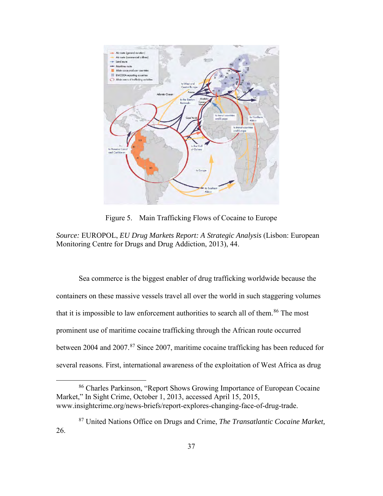

Figure 5. Main Trafficking Flows of Cocaine to Europe

*Source:* EUROPOL, *EU Drug Markets Report: A Strategic Analysis* (Lisbon: European Monitoring Centre for Drugs and Drug Addiction, 2013), 44.

Sea commerce is the biggest enabler of drug trafficking worldwide because the containers on these massive vessels travel all over the world in such staggering volumes that it is impossible to law enforcement authorities to search all of them.<sup>86</sup> The most prominent use of maritime cocaine trafficking through the African route occurred between 2004 and 2007.<sup>[87](#page-45-1)</sup> Since 2007, maritime cocaine trafficking has been reduced for several reasons. First, international awareness of the exploitation of West Africa as drug

<span id="page-45-0"></span> 86 Charles Parkinson, "Report Shows Growing Importance of European Cocaine Market," In Sight Crime, October 1, 2013, accessed April 15, 2015, www.insightcrime.org/news-briefs/report-explores-changing-face-of-drug-trade.

<span id="page-45-1"></span><sup>87</sup> United Nations Office on Drugs and Crime, *The Transatlantic Cocaine Market,* 26.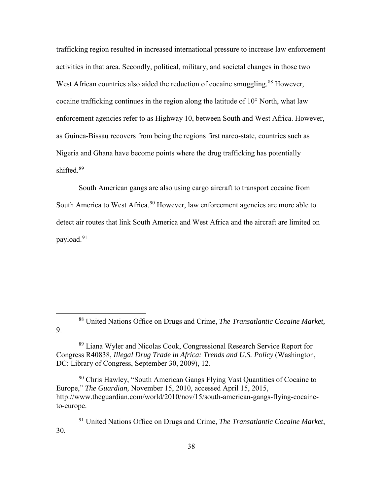trafficking region resulted in increased international pressure to increase law enforcement activities in that area. Secondly, political, military, and societal changes in those two West African countries also aided the reduction of cocaine smuggling.<sup>88</sup> However, cocaine trafficking continues in the region along the latitude of 10° North, what law enforcement agencies refer to as Highway 10, between South and West Africa. However, as Guinea-Bissau recovers from being the regions first narco-state, countries such as Nigeria and Ghana have become points where the drug trafficking has potentially shifted  $89$ 

South American gangs are also using cargo aircraft to transport cocaine from South America to West Africa.<sup>[90](#page-46-2)</sup> However, law enforcement agencies are more able to detect air routes that link South America and West Africa and the aircraft are limited on payload.[91](#page-46-3) 

<span id="page-46-0"></span> 88 United Nations Office on Drugs and Crime, *The Transatlantic Cocaine Market,* 9.

<span id="page-46-1"></span>89 Liana Wyler and Nicolas Cook, Congressional Research Service Report for Congress R40838, *Illegal Drug Trade in Africa: Trends and U.S. Policy* (Washington, DC: Library of Congress, September 30, 2009), 12.

<span id="page-46-2"></span><sup>90</sup> Chris Hawley, "South American Gangs Flying Vast Quantities of Cocaine to Europe," *The Guardian,* November 15, 2010, accessed April 15, 2015, http://www.theguardian.com/world/2010/nov/15/south-american-gangs-flying-cocaineto-europe.

<span id="page-46-3"></span>91 United Nations Office on Drugs and Crime, *The Transatlantic Cocaine Market*, 30.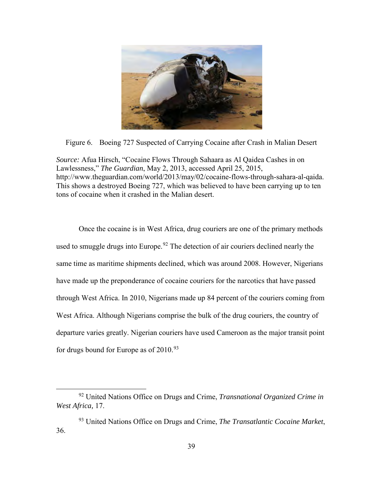

Figure 6. Boeing 727 Suspected of Carrying Cocaine after Crash in Malian Desert

*Source:* Afua Hirsch, "Cocaine Flows Through Sahaara as Al Qaidea Cashes in on Lawlessness," *The Guardian*, May 2, 2013, accessed April 25, 2015, http://www.theguardian.com/world/2013/may/02/cocaine-flows-through-sahara-al-qaida. This shows a destroyed Boeing 727, which was believed to have been carrying up to ten tons of cocaine when it crashed in the Malian desert.

Once the cocaine is in West Africa, drug couriers are one of the primary methods used to smuggle drugs into Europe.<sup>[92](#page-47-0)</sup> The detection of air couriers declined nearly the same time as maritime shipments declined, which was around 2008. However, Nigerians have made up the preponderance of cocaine couriers for the narcotics that have passed through West Africa. In 2010, Nigerians made up 84 percent of the couriers coming from West Africa. Although Nigerians comprise the bulk of the drug couriers, the country of departure varies greatly. Nigerian couriers have used Cameroon as the major transit point for drugs bound for Europe as of  $2010^{93}$ 

<span id="page-47-0"></span> <sup>92</sup> United Nations Office on Drugs and Crime, *Transnational Organized Crime in West Africa,* 17.

<span id="page-47-1"></span><sup>93</sup> United Nations Office on Drugs and Crime, *The Transatlantic Cocaine Market*, 36.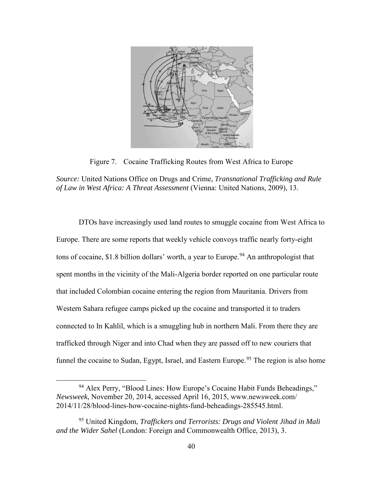

Figure 7. Cocaine Trafficking Routes from West Africa to Europe

*Source:* United Nations Office on Drugs and Crime, *Transnational Trafficking and Rule of Law in West Africa: A Threat Assessment* (Vienna: United Nations, 2009), 13.

DTOs have increasingly used land routes to smuggle cocaine from West Africa to Europe. There are some reports that weekly vehicle convoys traffic nearly forty-eight tons of cocaine, \$1.8 billion dollars' worth, a year to Europe.<sup>[94](#page-48-0)</sup> An anthropologist that spent months in the vicinity of the Mali-Algeria border reported on one particular route that included Colombian cocaine entering the region from Mauritania. Drivers from Western Sahara refugee camps picked up the cocaine and transported it to traders connected to In Kahlil, which is a smuggling hub in northern Mali. From there they are trafficked through Niger and into Chad when they are passed off to new couriers that funnel the cocaine to Sudan, Egypt, Israel, and Eastern Europe.<sup>[95](#page-48-1)</sup> The region is also home

<span id="page-48-0"></span><sup>&</sup>lt;sup>94</sup> Alex Perry, "Blood Lines: How Europe's Cocaine Habit Funds Beheadings," *Newsweek*, November 20, 2014, accessed April 16, 2015, www.newsweek.com/ 2014/11/28/blood-lines-how-cocaine-nights-fund-beheadings-285545.html.

<span id="page-48-1"></span><sup>95</sup> United Kingdom, *Traffickers and Terrorists: Drugs and Violent Jihad in Mali and the Wider Sahel* (London: Foreign and Commonwealth Office, 2013), 3.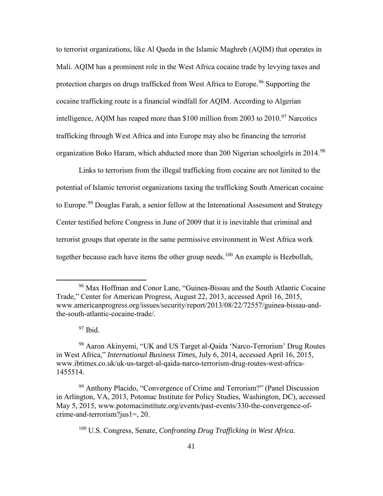to terrorist organizations, like Al Qaeda in the Islamic Maghreb (AQIM) that operates in Mali. AQIM has a prominent role in the West Africa cocaine trade by levying taxes and protection charges on drugs trafficked from West Africa to Europe.<sup>96</sup> Supporting the cocaine trafficking route is a financial windfall for AQIM. According to Algerian intelligence, AQIM has reaped more than \$100 million from 2003 to  $2010$ .<sup>[97](#page-49-1)</sup> Narcotics trafficking through West Africa and into Europe may also be financing the terrorist organization Boko Haram, which abducted more than 200 Nigerian schoolgirls in 2014.[98](#page-49-2)

Links to terrorism from the illegal trafficking from cocaine are not limited to the potential of Islamic terrorist organizations taxing the trafficking South American cocaine to Europe.<sup>99</sup> Douglas Farah, a senior fellow at the International Assessment and Strategy Center testified before Congress in June of 2009 that it is inevitable that criminal and terrorist groups that operate in the same permissive environment in West Africa work together because each have items the other group needs.<sup>[100](#page-49-4)</sup> An example is Hezbollah,

<span id="page-49-0"></span> <sup>96</sup> Max Hoffman and Conor Lane, "Guinea-Bissau and the South Atlantic Cocaine Trade," Center for American Progress, August 22, 2013, accessed April 16, 2015, www.americanprogress.org/issues/security/report/2013/08/22/72557/guinea-bissau-andthe-south-atlantic-cocaine-trade/.

 $97$  Ibid.

<span id="page-49-2"></span><span id="page-49-1"></span><sup>98</sup> Aaron Akinyemi, "UK and US Target al-Qaida 'Narco-Terrorism' Drug Routes in West Africa," *International Business Times,* July 6, 2014, accessed April 16, 2015, www.ibtimes.co.uk/uk-us-target-al-qaida-narco-terrorism-drug-routes-west-africa-1455514.

<span id="page-49-4"></span><span id="page-49-3"></span><sup>99</sup> Anthony Placido, "Convergence of Crime and Terrorism?" (Panel Discussion in Arlington, VA, 2013, Potomac Institute for Policy Studies, Washington, DC), accessed May 5, 2015, www.potomacinstitute.org/events/past-events/330-the-convergence-ofcrime-and-terrorism?jus1=, 20.

<sup>100</sup> U.S. Congress, Senate, *Confronting Drug Trafficking in West Africa.*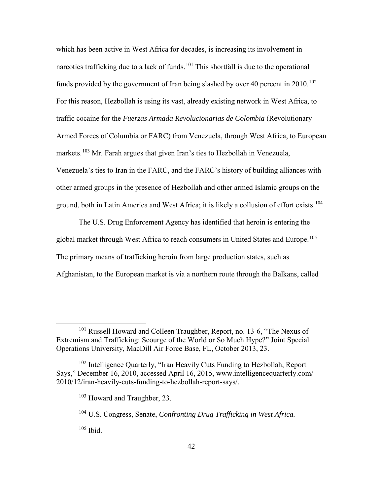which has been active in West Africa for decades, is increasing its involvement in narcotics trafficking due to a lack of funds.<sup>[101](#page-50-0)</sup> This shortfall is due to the operational funds provided by the government of Iran being slashed by over 40 percent in  $2010$ .<sup>[102](#page-50-1)</sup> For this reason, Hezbollah is using its vast, already existing network in West Africa, to traffic cocaine for the *Fuerzas Armada Revolucionarias de Colombia* (Revolutionary Armed Forces of Columbia or FARC) from Venezuela, through West Africa, to European markets.<sup>103</sup> Mr. Farah argues that given Iran's ties to Hezbollah in Venezuela, Venezuela's ties to Iran in the FARC, and the FARC's history of building alliances with other armed groups in the presence of Hezbollah and other armed Islamic groups on the ground, both in Latin America and West Africa; it is likely a collusion of effort exists.<sup>[104](#page-50-3)</sup>

The U.S. Drug Enforcement Agency has identified that heroin is entering the global market through West Africa to reach consumers in United States and Europe.<sup>[105](#page-50-4)</sup> The primary means of trafficking heroin from large production states, such as Afghanistan, to the European market is via a northern route through the Balkans, called

<span id="page-50-4"></span><sup>105</sup> Ibid.

<span id="page-50-0"></span> <sup>101</sup> Russell Howard and Colleen Traughber, Report, no. 13-6, "The Nexus of Extremism and Trafficking: Scourge of the World or So Much Hype?" Joint Special Operations University, MacDill Air Force Base, FL, October 2013, 23.

<span id="page-50-3"></span><span id="page-50-2"></span><span id="page-50-1"></span><sup>&</sup>lt;sup>102</sup> Intelligence Quarterly, "Iran Heavily Cuts Funding to Hezbollah, Report Says," December 16, 2010, accessed April 16, 2015, www.intelligencequarterly.com/ 2010/12/iran-heavily-cuts-funding-to-hezbollah-report-says/.

<sup>103</sup> Howard and Traughber, 23.

<sup>104</sup> U.S. Congress, Senate, *Confronting Drug Trafficking in West Africa.*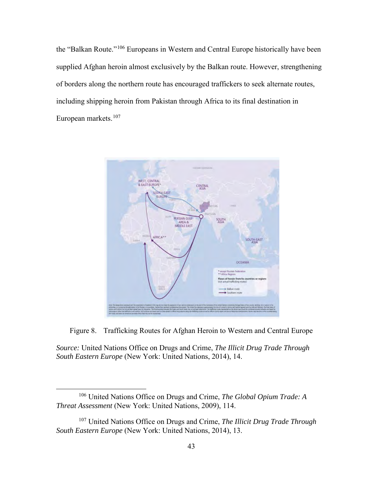the "Balkan Route."[106](#page-51-0) Europeans in Western and Central Europe historically have been supplied Afghan heroin almost exclusively by the Balkan route. However, strengthening of borders along the northern route has encouraged traffickers to seek alternate routes, including shipping heroin from Pakistan through Africa to its final destination in European markets.<sup>107</sup>



Figure 8. Trafficking Routes for Afghan Heroin to Western and Central Europe

*Source:* United Nations Office on Drugs and Crime, *The Illicit Drug Trade Through South Eastern Europe* (New York: United Nations, 2014), 14.

<span id="page-51-0"></span> <sup>106</sup> United Nations Office on Drugs and Crime, *The Global Opium Trade: A Threat Assessment* (New York: United Nations, 2009), 114.

<span id="page-51-1"></span><sup>107</sup> United Nations Office on Drugs and Crime, *The Illicit Drug Trade Through South Eastern Europe* (New York: United Nations, 2014), 13.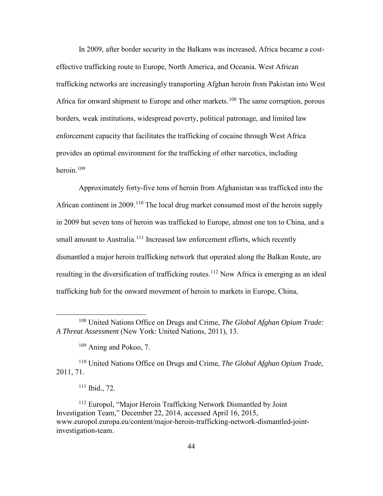In 2009, after border security in the Balkans was increased, Africa became a costeffective trafficking route to Europe, North America, and Oceania. West African trafficking networks are increasingly transporting Afghan heroin from Pakistan into West Africa for onward shipment to Europe and other markets.<sup>[108](#page-52-0)</sup> The same corruption, porous borders, weak institutions, widespread poverty, political patronage, and limited law enforcement capacity that facilitates the trafficking of cocaine through West Africa provides an optimal environment for the trafficking of other narcotics, including heroin  $109$ 

Approximately forty-five tons of heroin from Afghanistan was trafficked into the African continent in 2009.<sup>[110](#page-52-2)</sup> The local drug market consumed most of the heroin supply in 2009 but seven tons of heroin was trafficked to Europe, almost one ton to China, and a small amount to Australia.<sup>[111](#page-52-3)</sup> Increased law enforcement efforts, which recently dismantled a major heroin trafficking network that operated along the Balkan Route, are resulting in the diversification of trafficking routes.<sup>[112](#page-52-4)</sup> Now Africa is emerging as an ideal trafficking hub for the onward movement of heroin to markets in Europe, China,

<span id="page-52-2"></span><span id="page-52-1"></span>110 United Nations Office on Drugs and Crime, *The Global Afghan Opium Trade,*  2011, 71.

<span id="page-52-4"></span><span id="page-52-3"></span>112 Europol, "Major Heroin Trafficking Network Dismantled by Joint Investigation Team," December 22, 2014, accessed April 16, 2015, www.europol.europa.eu/content/major-heroin-trafficking-network-dismantled-jointinvestigation-team.

<span id="page-52-0"></span> <sup>108</sup> United Nations Office on Drugs and Crime, *The Global Afghan Opium Trade: A Threat Assessment* (New York: United Nations, 2011), 13.

 $109$  Aning and Pokoo, 7.

 $111$  Ibid., 72.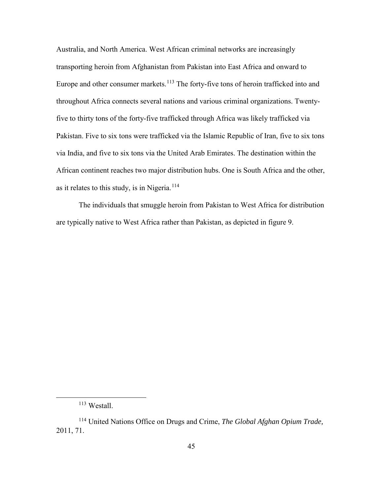Australia, and North America. West African criminal networks are increasingly transporting heroin from Afghanistan from Pakistan into East Africa and onward to Europe and other consumer markets.<sup>[113](#page-53-0)</sup> The forty-five tons of heroin trafficked into and throughout Africa connects several nations and various criminal organizations. Twentyfive to thirty tons of the forty-five trafficked through Africa was likely trafficked via Pakistan. Five to six tons were trafficked via the Islamic Republic of Iran, five to six tons via India, and five to six tons via the United Arab Emirates. The destination within the African continent reaches two major distribution hubs. One is South Africa and the other, as it relates to this study, is in Nigeria.<sup>[114](#page-53-1)</sup>

The individuals that smuggle heroin from Pakistan to West Africa for distribution are typically native to West Africa rather than Pakistan, as depicted in figure 9.

 <sup>113</sup> Westall.

<span id="page-53-1"></span><span id="page-53-0"></span><sup>114</sup> United Nations Office on Drugs and Crime, *The Global Afghan Opium Trade,*  2011, 71.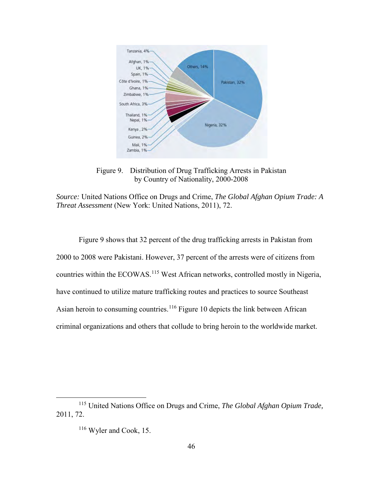

Figure 9. Distribution of Drug Trafficking Arrests in Pakistan by Country of Nationality, 2000-2008

*Source:* United Nations Office on Drugs and Crime, *The Global Afghan Opium Trade: A Threat Assessment* (New York: United Nations, 2011), 72.

Figure 9 shows that 32 percent of the drug trafficking arrests in Pakistan from 2000 to 2008 were Pakistani. However, 37 percent of the arrests were of citizens from countries within the ECOWAS.<sup>115</sup> West African networks, controlled mostly in Nigeria, have continued to utilize mature trafficking routes and practices to source Southeast Asian heroin to consuming countries.<sup>[116](#page-54-1)</sup> Figure 10 depicts the link between African criminal organizations and others that collude to bring heroin to the worldwide market.

<span id="page-54-1"></span><span id="page-54-0"></span> <sup>115</sup> United Nations Office on Drugs and Crime, *The Global Afghan Opium Trade,*  2011, 72.

<sup>116</sup> Wyler and Cook, 15.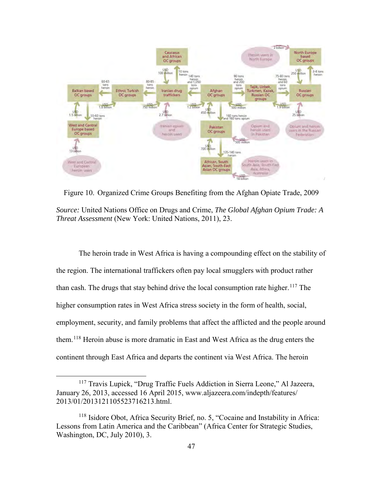

Figure 10. Organized Crime Groups Benefiting from the Afghan Opiate Trade, 2009 *Source:* United Nations Office on Drugs and Crime, *The Global Afghan Opium Trade: A Threat Assessment* (New York: United Nations, 2011), 23.

The heroin trade in West Africa is having a compounding effect on the stability of the region. The international traffickers often pay local smugglers with product rather than cash. The drugs that stay behind drive the local consumption rate higher.<sup>[117](#page-55-0)</sup> The higher consumption rates in West Africa stress society in the form of health, social, employment, security, and family problems that affect the afflicted and the people around them.[118](#page-55-1) Heroin abuse is more dramatic in East and West Africa as the drug enters the continent through East Africa and departs the continent via West Africa. The heroin

<span id="page-55-0"></span> <sup>117</sup> Travis Lupick, "Drug Traffic Fuels Addiction in Sierra Leone," Al Jazeera, January 26, 2013, accessed 16 April 2015, www.aljazeera.com/indepth/features/ 2013/01/2013121105523716213.html.

<span id="page-55-1"></span><sup>118</sup> Isidore Obot, Africa Security Brief, no. 5, "Cocaine and Instability in Africa: Lessons from Latin America and the Caribbean" (Africa Center for Strategic Studies, Washington, DC, July 2010), 3.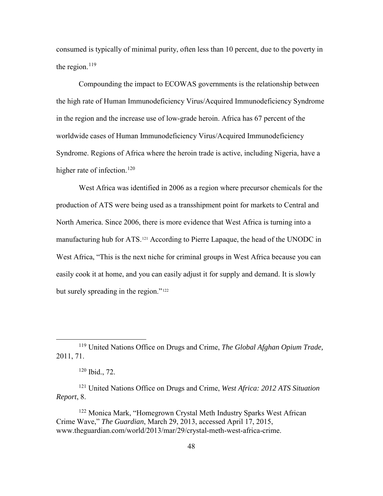consumed is typically of minimal purity, often less than 10 percent, due to the poverty in the region. $119$ 

Compounding the impact to ECOWAS governments is the relationship between the high rate of Human Immunodeficiency Virus/Acquired Immunodeficiency Syndrome in the region and the increase use of low-grade heroin. Africa has 67 percent of the worldwide cases of Human Immunodeficiency Virus/Acquired Immunodeficiency Syndrome. Regions of Africa where the heroin trade is active, including Nigeria, have a higher rate of infection.<sup>[120](#page-56-1)</sup>

West Africa was identified in 2006 as a region where precursor chemicals for the production of ATS were being used as a transshipment point for markets to Central and North America. Since 2006, there is more evidence that West Africa is turning into a manufacturing hub for ATS.[121](#page-56-2) According to Pierre Lapaque, the head of the UNODC in West Africa, "This is the next niche for criminal groups in West Africa because you can easily cook it at home, and you can easily adjust it for supply and demand. It is slowly but surely spreading in the region."<sup>[122](#page-56-3)</sup>

<span id="page-56-0"></span> <sup>119</sup> United Nations Office on Drugs and Crime, *The Global Afghan Opium Trade,*  2011, 71.

<sup>120</sup> Ibid., 72.

<span id="page-56-2"></span><span id="page-56-1"></span><sup>121</sup> United Nations Office on Drugs and Crime, *West Africa: 2012 ATS Situation Report*, 8.

<span id="page-56-3"></span><sup>122</sup> Monica Mark, "Homegrown Crystal Meth Industry Sparks West African Crime Wave," *The Guardian*, March 29, 2013, accessed April 17, 2015, www.theguardian.com/world/2013/mar/29/crystal-meth-west-africa-crime.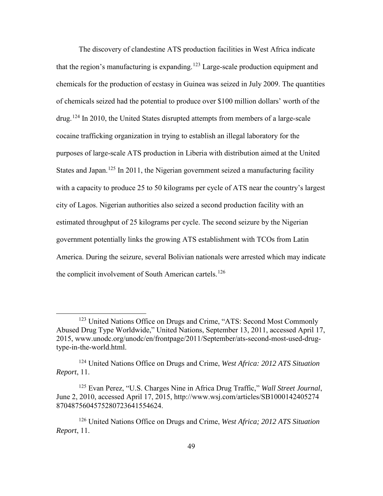The discovery of clandestine ATS production facilities in West Africa indicate that the region's manufacturing is expanding.<sup>[123](#page-57-0)</sup> Large-scale production equipment and chemicals for the production of ecstasy in Guinea was seized in July 2009. The quantities of chemicals seized had the potential to produce over \$100 million dollars' worth of the drug.[124](#page-57-1) In 2010, the United States disrupted attempts from members of a large-scale cocaine trafficking organization in trying to establish an illegal laboratory for the purposes of large-scale ATS production in Liberia with distribution aimed at the United States and Japan.<sup>[125](#page-57-2)</sup> In 2011, the Nigerian government seized a manufacturing facility with a capacity to produce 25 to 50 kilograms per cycle of ATS near the country's largest city of Lagos. Nigerian authorities also seized a second production facility with an estimated throughput of 25 kilograms per cycle. The second seizure by the Nigerian government potentially links the growing ATS establishment with TCOs from Latin America. During the seizure, several Bolivian nationals were arrested which may indicate the complicit involvement of South American cartels.<sup>[126](#page-57-3)</sup>

<span id="page-57-0"></span><sup>&</sup>lt;sup>123</sup> United Nations Office on Drugs and Crime, "ATS: Second Most Commonly Abused Drug Type Worldwide," United Nations, September 13, 2011, accessed April 17, 2015, www.unodc.org/unodc/en/frontpage/2011/September/ats-second-most-used-drugtype-in-the-world.html.

<span id="page-57-1"></span><sup>124</sup> United Nations Office on Drugs and Crime, *West Africa: 2012 ATS Situation Report*, 11.

<span id="page-57-2"></span><sup>125</sup> Evan Perez, "U.S. Charges Nine in Africa Drug Traffic," *Wall Street Journal*, June 2, 2010, accessed April 17, 2015, http://www.wsj.com/articles/SB1000142405274 8704875604575280723641554624.

<span id="page-57-3"></span><sup>126</sup> United Nations Office on Drugs and Crime, *West Africa; 2012 ATS Situation Report*, 11.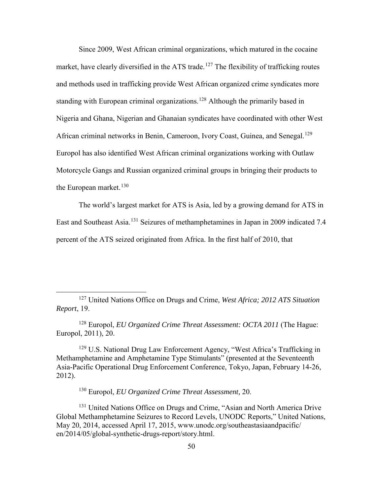Since 2009, West African criminal organizations, which matured in the cocaine market, have clearly diversified in the ATS trade.<sup>[127](#page-58-0)</sup> The flexibility of trafficking routes and methods used in trafficking provide West African organized crime syndicates more standing with European criminal organizations.<sup>[128](#page-58-1)</sup> Although the primarily based in Nigeria and Ghana, Nigerian and Ghanaian syndicates have coordinated with other West African criminal networks in Benin, Cameroon, Ivory Coast, Guinea, and Senegal.<sup>[129](#page-58-2)</sup> Europol has also identified West African criminal organizations working with Outlaw Motorcycle Gangs and Russian organized criminal groups in bringing their products to the European market. $130$ 

The world's largest market for ATS is Asia, led by a growing demand for ATS in East and Southeast Asia.[131](#page-58-4) Seizures of methamphetamines in Japan in 2009 indicated 7.4 percent of the ATS seized originated from Africa. In the first half of 2010, that

<span id="page-58-2"></span><sup>129</sup> U.S. National Drug Law Enforcement Agency, "West Africa's Trafficking in Methamphetamine and Amphetamine Type Stimulants" (presented at the Seventeenth Asia-Pacific Operational Drug Enforcement Conference, Tokyo, Japan, February 14-26, 2012).

130 Europol, *EU Organized Crime Threat Assessment,* 20.

<span id="page-58-4"></span><span id="page-58-3"></span><sup>131</sup> United Nations Office on Drugs and Crime, "Asian and North America Drive Global Methamphetamine Seizures to Record Levels, UNODC Reports," United Nations, May 20, 2014, accessed April 17, 2015, www.unodc.org/southeastasiaandpacific/ en/2014/05/global-synthetic-drugs-report/story.html.

<span id="page-58-0"></span> <sup>127</sup> United Nations Office on Drugs and Crime, *West Africa; 2012 ATS Situation Report*, 19.

<span id="page-58-1"></span><sup>128</sup> Europol, *EU Organized Crime Threat Assessment: OCTA 2011* (The Hague: Europol, 2011), 20.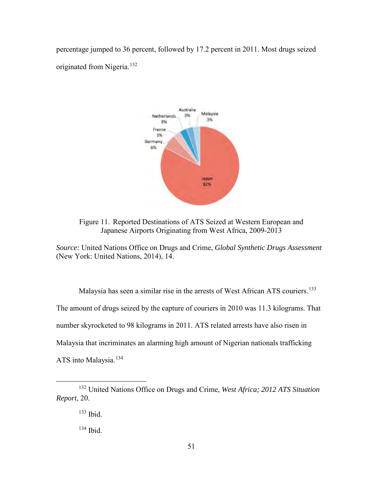percentage jumped to 36 percent, followed by 17.2 percent in 2011. Most drugs seized originated from Nigeria.[132](#page-59-0) 



Figure 11. Reported Destinations of ATS Seized at Western European and Japanese Airports Originating from West Africa, 2009-2013

*Source:* United Nations Office on Drugs and Crime, *Global Synthetic Drugs Assessment* (New York: United Nations, 2014), 14.

Malaysia has seen a similar rise in the arrests of West African ATS couriers.<sup>[133](#page-59-1)</sup> The amount of drugs seized by the capture of couriers in 2010 was 11.3 kilograms. That number skyrocketed to 98 kilograms in 2011. ATS related arrests have also risen in Malaysia that incriminates an alarming high amount of Nigerian nationals trafficking ATS into Malaysia.<sup>[134](#page-59-2)</sup>

<span id="page-59-2"></span><span id="page-59-1"></span><span id="page-59-0"></span> <sup>132</sup> United Nations Office on Drugs and Crime, *West Africa; 2012 ATS Situation Report*, 20.

<sup>133</sup> Ibid.

 $134$  Ibid.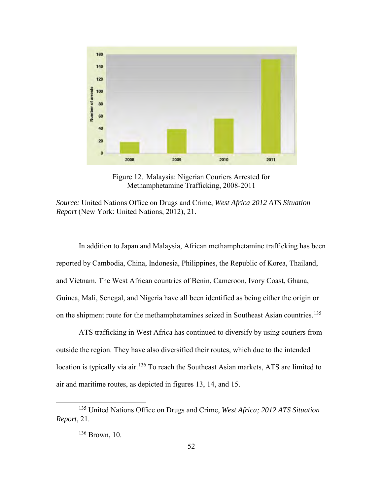

Figure 12. Malaysia: Nigerian Couriers Arrested for Methamphetamine Trafficking, 2008-2011

In addition to Japan and Malaysia, African methamphetamine trafficking has been reported by Cambodia, China, Indonesia, Philippines, the Republic of Korea, Thailand, and Vietnam. The West African countries of Benin, Cameroon, Ivory Coast, Ghana, Guinea, Mali, Senegal, and Nigeria have all been identified as being either the origin or on the shipment route for the methamphetamines seized in Southeast Asian countries.<sup>[135](#page-60-0)</sup>

ATS trafficking in West Africa has continued to diversify by using couriers from outside the region. They have also diversified their routes, which due to the intended location is typically via air.<sup>136</sup> To reach the Southeast Asian markets, ATS are limited to air and maritime routes, as depicted in figures 13, 14, and 15.

*Source:* United Nations Office on Drugs and Crime, *West Africa 2012 ATS Situation Report* (New York: United Nations, 2012), 21.

<span id="page-60-1"></span><span id="page-60-0"></span> <sup>135</sup> United Nations Office on Drugs and Crime, *West Africa; 2012 ATS Situation Report*, 21.

<sup>136</sup> Brown, 10.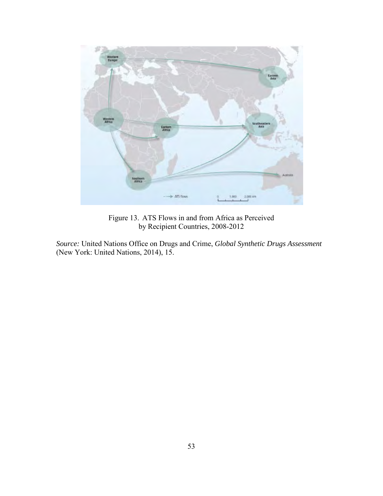

Figure 13. ATS Flows in and from Africa as Perceived by Recipient Countries, 2008-2012

*Source:* United Nations Office on Drugs and Crime, *Global Synthetic Drugs Assessment* (New York: United Nations, 2014), 15.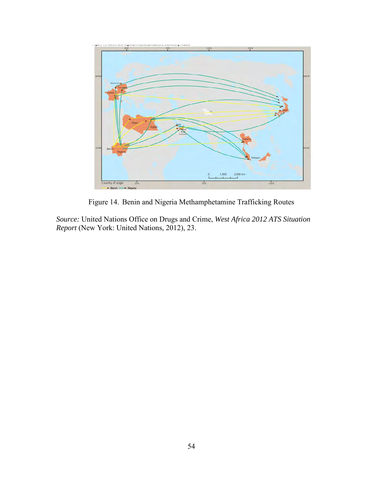

Figure 14. Benin and Nigeria Methamphetamine Trafficking Routes

*Source:* United Nations Office on Drugs and Crime, *West Africa 2012 ATS Situation Report* (New York: United Nations, 2012), 23.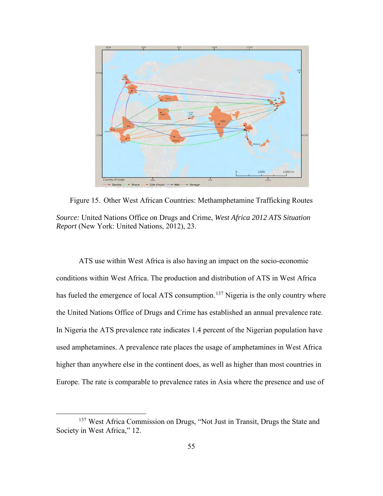

Figure 15. Other West African Countries: Methamphetamine Trafficking Routes *Source:* United Nations Office on Drugs and Crime, *West Africa 2012 ATS Situation Report* (New York: United Nations, 2012), 23.

ATS use within West Africa is also having an impact on the socio-economic conditions within West Africa. The production and distribution of ATS in West Africa has fueled the emergence of local ATS consumption.<sup>[137](#page-63-0)</sup> Nigeria is the only country where the United Nations Office of Drugs and Crime has established an annual prevalence rate. In Nigeria the ATS prevalence rate indicates 1.4 percent of the Nigerian population have used amphetamines. A prevalence rate places the usage of amphetamines in West Africa higher than anywhere else in the continent does, as well as higher than most countries in Europe. The rate is comparable to prevalence rates in Asia where the presence and use of

<span id="page-63-0"></span><sup>&</sup>lt;sup>137</sup> West Africa Commission on Drugs, "Not Just in Transit, Drugs the State and Society in West Africa," 12.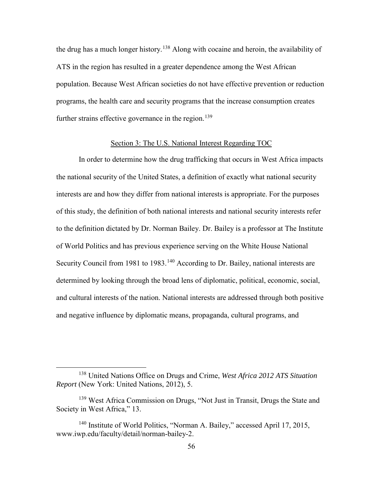the drug has a much longer history.<sup>[138](#page-64-0)</sup> Along with cocaine and heroin, the availability of ATS in the region has resulted in a greater dependence among the West African population. Because West African societies do not have effective prevention or reduction programs, the health care and security programs that the increase consumption creates further strains effective governance in the region.<sup>[139](#page-64-1)</sup>

# Section 3: The U.S. National Interest Regarding TOC

In order to determine how the drug trafficking that occurs in West Africa impacts the national security of the United States, a definition of exactly what national security interests are and how they differ from national interests is appropriate. For the purposes of this study, the definition of both national interests and national security interests refer to the definition dictated by Dr. Norman Bailey. Dr. Bailey is a professor at The Institute of World Politics and has previous experience serving on the White House National Security Council from 1981 to 1983.<sup>[140](#page-64-2)</sup> According to Dr. Bailey, national interests are determined by looking through the broad lens of diplomatic, political, economic, social, and cultural interests of the nation. National interests are addressed through both positive and negative influence by diplomatic means, propaganda, cultural programs, and

<span id="page-64-0"></span> <sup>138</sup> United Nations Office on Drugs and Crime, *West Africa 2012 ATS Situation Report* (New York: United Nations, 2012), 5.

<span id="page-64-1"></span><sup>139</sup> West Africa Commission on Drugs, "Not Just in Transit, Drugs the State and Society in West Africa," 13.

<span id="page-64-2"></span><sup>140</sup> Institute of World Politics, "Norman A. Bailey," accessed April 17, 2015, www.iwp.edu/faculty/detail/norman-bailey-2.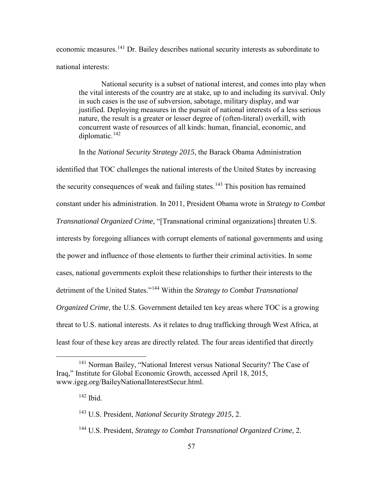economic measures.[141](#page-65-0) Dr. Bailey describes national security interests as subordinate to national interests:

National security is a subset of national interest, and comes into play when the vital interests of the country are at stake, up to and including its survival. Only in such cases is the use of subversion, sabotage, military display, and war justified. Deploying measures in the pursuit of national interests of a less serious nature, the result is a greater or lesser degree of (often-literal) overkill, with concurrent waste of resources of all kinds: human, financial, economic, and diplomatic.[142](#page-65-1)

In the *National Security Strategy 2015*, the Barack Obama Administration

identified that TOC challenges the national interests of the United States by increasing the security consequences of weak and failing states.<sup>[143](#page-65-2)</sup> This position has remained constant under his administration. In 2011, President Obama wrote in *Strategy to Combat Transnational Organized Crime,* "[Transnational criminal organizations] threaten U.S. interests by foregoing alliances with corrupt elements of national governments and using the power and influence of those elements to further their criminal activities. In some cases, national governments exploit these relationships to further their interests to the detriment of the United States."[144](#page-65-3) Within the *Strategy to Combat Transnational Organized Crime*, the U.S. Government detailed ten key areas where TOC is a growing threat to U.S. national interests. As it relates to drug trafficking through West Africa, at least four of these key areas are directly related. The four areas identified that directly

<span id="page-65-2"></span><span id="page-65-1"></span><span id="page-65-0"></span><sup>&</sup>lt;sup>141</sup> Norman Bailey, "National Interest versus National Security? The Case of Iraq," Institute for Global Economic Growth, accessed April 18, 2015, www.igeg.org/BaileyNationalInterestSecur.html.

 $142$  Ibid.

<sup>143</sup> U.S. President, *National Security Strategy 2015*, 2.

<span id="page-65-3"></span><sup>144</sup> U.S. President, *Strategy to Combat Transnational Organized Crime,* 2.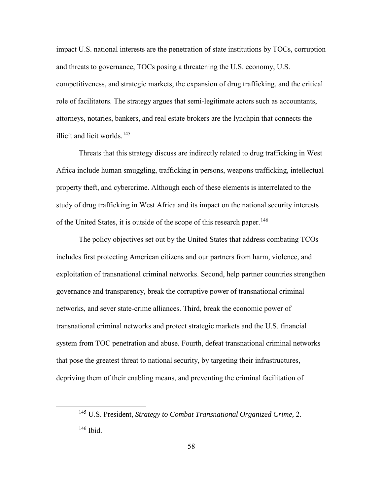impact U.S. national interests are the penetration of state institutions by TOCs, corruption and threats to governance, TOCs posing a threatening the U.S. economy, U.S. competitiveness, and strategic markets, the expansion of drug trafficking, and the critical role of facilitators. The strategy argues that semi-legitimate actors such as accountants, attorneys, notaries, bankers, and real estate brokers are the lynchpin that connects the illicit and licit worlds.[145](#page-66-0)

Threats that this strategy discuss are indirectly related to drug trafficking in West Africa include human smuggling, trafficking in persons, weapons trafficking, intellectual property theft, and cybercrime. Although each of these elements is interrelated to the study of drug trafficking in West Africa and its impact on the national security interests of the United States, it is outside of the scope of this research paper.<sup>[146](#page-66-1)</sup>

The policy objectives set out by the United States that address combating TCOs includes first protecting American citizens and our partners from harm, violence, and exploitation of transnational criminal networks. Second, help partner countries strengthen governance and transparency, break the corruptive power of transnational criminal networks, and sever state-crime alliances. Third, break the economic power of transnational criminal networks and protect strategic markets and the U.S. financial system from TOC penetration and abuse. Fourth, defeat transnational criminal networks that pose the greatest threat to national security, by targeting their infrastructures, depriving them of their enabling means, and preventing the criminal facilitation of

<span id="page-66-1"></span><span id="page-66-0"></span> <sup>145</sup> U.S. President, *Strategy to Combat Transnational Organized Crime,* 2. 146 Ibid.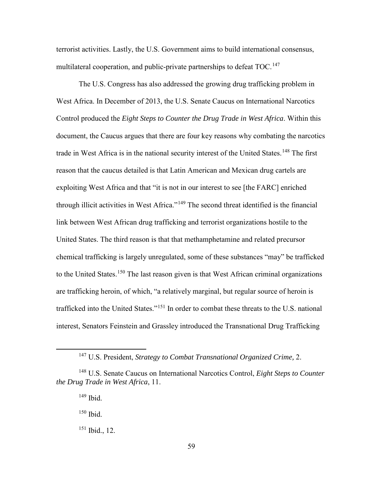terrorist activities. Lastly, the U.S. Government aims to build international consensus, multilateral cooperation, and public-private partnerships to defeat TOC.<sup>147</sup>

The U.S. Congress has also addressed the growing drug trafficking problem in West Africa. In December of 2013, the U.S. Senate Caucus on International Narcotics Control produced the *Eight Steps to Counter the Drug Trade in West Africa*. Within this document, the Caucus argues that there are four key reasons why combating the narcotics trade in West Africa is in the national security interest of the United States.<sup>[148](#page-67-1)</sup> The first reason that the caucus detailed is that Latin American and Mexican drug cartels are exploiting West Africa and that "it is not in our interest to see [the FARC] enriched through illicit activities in West Africa."[149](#page-67-2) The second threat identified is the financial link between West African drug trafficking and terrorist organizations hostile to the United States. The third reason is that that methamphetamine and related precursor chemical trafficking is largely unregulated, some of these substances "may" be trafficked to the United States.<sup>[150](#page-67-3)</sup> The last reason given is that West African criminal organizations are trafficking heroin, of which, "a relatively marginal, but regular source of heroin is trafficked into the United States."[151](#page-67-4) In order to combat these threats to the U.S. national interest, Senators Feinstein and Grassley introduced the Transnational Drug Trafficking

 $149$  Ibid.

150 Ibid.

<span id="page-67-4"></span> $151$  Ibid., 12.

 <sup>147</sup> U.S. President, *Strategy to Combat Transnational Organized Crime,* 2.

<span id="page-67-3"></span><span id="page-67-2"></span><span id="page-67-1"></span><span id="page-67-0"></span><sup>148</sup> U.S. Senate Caucus on International Narcotics Control, *Eight Steps to Counter the Drug Trade in West Africa*, 11.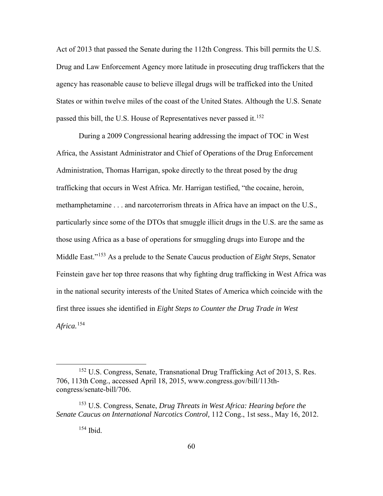Act of 2013 that passed the Senate during the 112th Congress. This bill permits the U.S. Drug and Law Enforcement Agency more latitude in prosecuting drug traffickers that the agency has reasonable cause to believe illegal drugs will be trafficked into the United States or within twelve miles of the coast of the United States. Although the U.S. Senate passed this bill, the U.S. House of Representatives never passed it.<sup>[152](#page-68-0)</sup>

During a 2009 Congressional hearing addressing the impact of TOC in West Africa, the Assistant Administrator and Chief of Operations of the Drug Enforcement Administration, Thomas Harrigan, spoke directly to the threat posed by the drug trafficking that occurs in West Africa. Mr. Harrigan testified, "the cocaine, heroin, methamphetamine . . . and narcoterrorism threats in Africa have an impact on the U.S., particularly since some of the DTOs that smuggle illicit drugs in the U.S. are the same as those using Africa as a base of operations for smuggling drugs into Europe and the Middle East."[153](#page-68-1) As a prelude to the Senate Caucus production of *Eight Steps*, Senator Feinstein gave her top three reasons that why fighting drug trafficking in West Africa was in the national security interests of the United States of America which coincide with the first three issues she identified in *Eight Steps to Counter the Drug Trade in West Africa.*[154](#page-68-2)

154 Ibid.

<span id="page-68-0"></span> <sup>152</sup> U.S. Congress, Senate, Transnational Drug Trafficking Act of 2013, S. Res. 706, 113th Cong., accessed April 18, 2015, www.congress.gov/bill/113thcongress/senate-bill/706.

<span id="page-68-2"></span><span id="page-68-1"></span><sup>153</sup> U.S. Congress, Senate, *Drug Threats in West Africa: Hearing before the Senate Caucus on International Narcotics Control,* 112 Cong., 1st sess., May 16, 2012.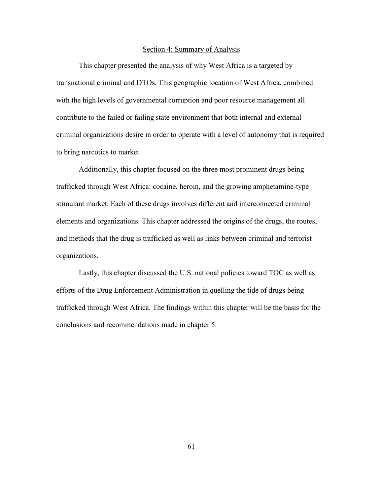#### Section 4: Summary of Analysis

This chapter presented the analysis of why West Africa is a targeted by transnational criminal and DTOs. This geographic location of West Africa, combined with the high levels of governmental corruption and poor resource management all contribute to the failed or failing state environment that both internal and external criminal organizations desire in order to operate with a level of autonomy that is required to bring narcotics to market.

Additionally, this chapter focused on the three most prominent drugs being trafficked through West Africa: cocaine, heroin, and the growing amphetamine-type stimulant market. Each of these drugs involves different and interconnected criminal elements and organizations. This chapter addressed the origins of the drugs, the routes, and methods that the drug is trafficked as well as links between criminal and terrorist organizations.

Lastly, this chapter discussed the U.S. national policies toward TOC as well as efforts of the Drug Enforcement Administration in quelling the tide of drugs being trafficked through West Africa. The findings within this chapter will be the basis for the conclusions and recommendations made in chapter 5.

61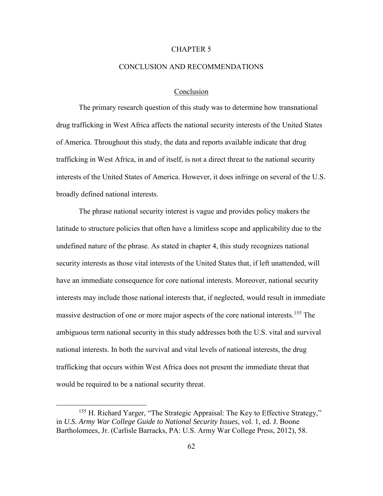## CHAPTER 5

## CONCLUSION AND RECOMMENDATIONS

## Conclusion

The primary research question of this study was to determine how transnational drug trafficking in West Africa affects the national security interests of the United States of America. Throughout this study, the data and reports available indicate that drug trafficking in West Africa, in and of itself, is not a direct threat to the national security interests of the United States of America. However, it does infringe on several of the U.S. broadly defined national interests.

The phrase national security interest is vague and provides policy makers the latitude to structure policies that often have a limitless scope and applicability due to the undefined nature of the phrase. As stated in chapter 4, this study recognizes national security interests as those vital interests of the United States that, if left unattended, will have an immediate consequence for core national interests. Moreover, national security interests may include those national interests that, if neglected, would result in immediate massive destruction of one or more major aspects of the core national interests.<sup>[155](#page-70-0)</sup> The ambiguous term national security in this study addresses both the U.S. vital and survival national interests. In both the survival and vital levels of national interests, the drug trafficking that occurs within West Africa does not present the immediate threat that would be required to be a national security threat.

<span id="page-70-0"></span><sup>&</sup>lt;sup>155</sup> H. Richard Yarger, "The Strategic Appraisal: The Key to Effective Strategy," in *U.S. Army War College Guide to National Security Issues*, vol. 1, ed. J. Boone Bartholomees, Jr. (Carlisle Barracks, PA: U.S. Army War College Press, 2012), 58.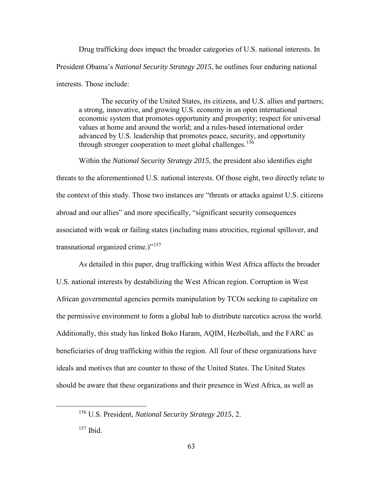Drug trafficking does impact the broader categories of U.S. national interests. In President Obama's *National Security Strategy 2015*, he outlines four enduring national interests. Those include:

The security of the United States, its citizens, and U.S. allies and partners; a strong, innovative, and growing U.S. economy in an open international economic system that promotes opportunity and prosperity; respect for universal values at home and around the world; and a rules-based international order advanced by U.S. leadership that promotes peace, security, and opportunity through stronger cooperation to meet global challenges.<sup>[156](#page-71-0)</sup>

Within the *National Security Strategy 2015*, the president also identifies eight threats to the aforementioned U.S. national interests. Of those eight, two directly relate to the context of this study. Those two instances are "threats or attacks against U.S. citizens abroad and our allies" and more specifically, "significant security consequences associated with weak or failing states (including mass atrocities, regional spillover, and transnational organized crime.)"[157](#page-71-1) 

As detailed in this paper, drug trafficking within West Africa affects the broader U.S. national interests by destabilizing the West African region. Corruption in West African governmental agencies permits manipulation by TCOs seeking to capitalize on the permissive environment to form a global hub to distribute narcotics across the world. Additionally, this study has linked Boko Haram, AQIM, Hezbollah, and the FARC as beneficiaries of drug trafficking within the region. All four of these organizations have ideals and motives that are counter to those of the United States. The United States should be aware that these organizations and their presence in West Africa, as well as

<span id="page-71-0"></span> <sup>156</sup> U.S. President, *National Security Strategy 2015*, 2.

<span id="page-71-1"></span><sup>157</sup> Ibid.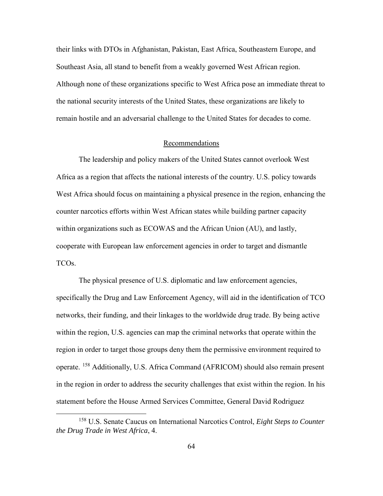their links with DTOs in Afghanistan, Pakistan, East Africa, Southeastern Europe, and Southeast Asia, all stand to benefit from a weakly governed West African region. Although none of these organizations specific to West Africa pose an immediate threat to the national security interests of the United States, these organizations are likely to remain hostile and an adversarial challenge to the United States for decades to come.

# Recommendations

The leadership and policy makers of the United States cannot overlook West Africa as a region that affects the national interests of the country. U.S. policy towards West Africa should focus on maintaining a physical presence in the region, enhancing the counter narcotics efforts within West African states while building partner capacity within organizations such as ECOWAS and the African Union (AU), and lastly, cooperate with European law enforcement agencies in order to target and dismantle TCOs.

The physical presence of U.S. diplomatic and law enforcement agencies, specifically the Drug and Law Enforcement Agency, will aid in the identification of TCO networks, their funding, and their linkages to the worldwide drug trade. By being active within the region, U.S. agencies can map the criminal networks that operate within the region in order to target those groups deny them the permissive environment required to operate. [158](#page-72-0) Additionally, U.S. Africa Command (AFRICOM) should also remain present in the region in order to address the security challenges that exist within the region. In his statement before the House Armed Services Committee, General David Rodriguez

<span id="page-72-0"></span> <sup>158</sup> U.S. Senate Caucus on International Narcotics Control, *Eight Steps to Counter the Drug Trade in West Africa*, 4.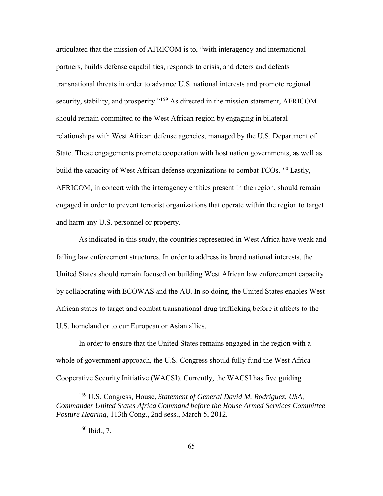articulated that the mission of AFRICOM is to, "with interagency and international partners, builds defense capabilities, responds to crisis, and deters and defeats transnational threats in order to advance U.S. national interests and promote regional security, stability, and prosperity."<sup>[159](#page-73-0)</sup> As directed in the mission statement, AFRICOM should remain committed to the West African region by engaging in bilateral relationships with West African defense agencies, managed by the U.S. Department of State. These engagements promote cooperation with host nation governments, as well as build the capacity of West African defense organizations to combat  $TCOs$ <sup>[160](#page-73-1)</sup> Lastly, AFRICOM, in concert with the interagency entities present in the region, should remain engaged in order to prevent terrorist organizations that operate within the region to target and harm any U.S. personnel or property.

As indicated in this study, the countries represented in West Africa have weak and failing law enforcement structures. In order to address its broad national interests, the United States should remain focused on building West African law enforcement capacity by collaborating with ECOWAS and the AU. In so doing, the United States enables West African states to target and combat transnational drug trafficking before it affects to the U.S. homeland or to our European or Asian allies.

In order to ensure that the United States remains engaged in the region with a whole of government approach, the U.S. Congress should fully fund the West Africa Cooperative Security Initiative (WACSI). Currently, the WACSI has five guiding

<span id="page-73-1"></span><span id="page-73-0"></span> <sup>159</sup> U.S. Congress, House, *Statement of General David M. Rodriguez, USA, Commander United States Africa Command before the House Armed Services Committee Posture Hearing,* 113th Cong., 2nd sess., March 5, 2012.

<sup>160</sup> Ibid., 7.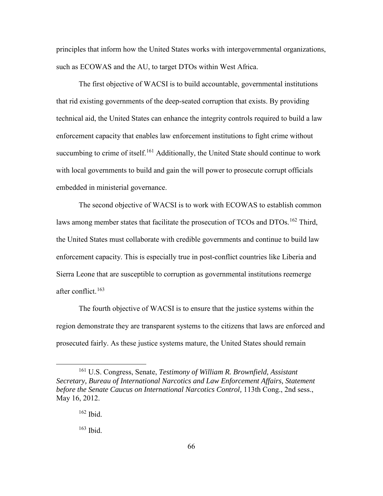principles that inform how the United States works with intergovernmental organizations, such as ECOWAS and the AU, to target DTOs within West Africa.

The first objective of WACSI is to build accountable, governmental institutions that rid existing governments of the deep-seated corruption that exists. By providing technical aid, the United States can enhance the integrity controls required to build a law enforcement capacity that enables law enforcement institutions to fight crime without succumbing to crime of itself.<sup>[161](#page-74-0)</sup> Additionally, the United State should continue to work with local governments to build and gain the will power to prosecute corrupt officials embedded in ministerial governance.

The second objective of WACSI is to work with ECOWAS to establish common laws among member states that facilitate the prosecution of TCOs and DTOs.<sup>[162](#page-74-1)</sup> Third, the United States must collaborate with credible governments and continue to build law enforcement capacity. This is especially true in post-conflict countries like Liberia and Sierra Leone that are susceptible to corruption as governmental institutions reemerge after conflict.<sup>[163](#page-74-2)</sup>

The fourth objective of WACSI is to ensure that the justice systems within the region demonstrate they are transparent systems to the citizens that laws are enforced and prosecuted fairly. As these justice systems mature, the United States should remain

<span id="page-74-1"></span><span id="page-74-0"></span> <sup>161</sup> U.S. Congress, Senate, *Testimony of William R. Brownfield, Assistant Secretary, Bureau of International Narcotics and Law Enforcement Affairs, Statement before the Senate Caucus on International Narcotics Control,* 113th Cong., 2nd sess., May 16, 2012.

 $162$  Ibid.

<span id="page-74-2"></span><sup>163</sup> Ibid.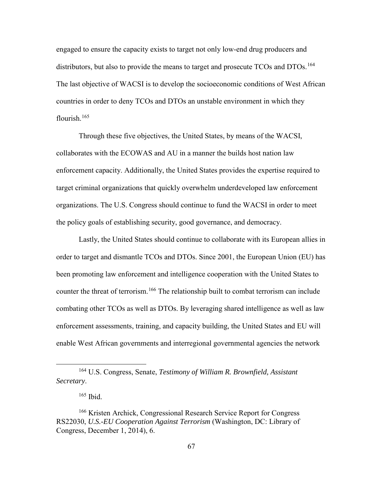engaged to ensure the capacity exists to target not only low-end drug producers and distributors, but also to provide the means to target and prosecute TCOs and DTOs.<sup>[164](#page-75-0)</sup> The last objective of WACSI is to develop the socioeconomic conditions of West African countries in order to deny TCOs and DTOs an unstable environment in which they flourish.<sup>[165](#page-75-1)</sup>

Through these five objectives, the United States, by means of the WACSI, collaborates with the ECOWAS and AU in a manner the builds host nation law enforcement capacity. Additionally, the United States provides the expertise required to target criminal organizations that quickly overwhelm underdeveloped law enforcement organizations. The U.S. Congress should continue to fund the WACSI in order to meet the policy goals of establishing security, good governance, and democracy.

Lastly, the United States should continue to collaborate with its European allies in order to target and dismantle TCOs and DTOs. Since 2001, the European Union (EU) has been promoting law enforcement and intelligence cooperation with the United States to counter the threat of terrorism.<sup>[166](#page-75-2)</sup> The relationship built to combat terrorism can include combating other TCOs as well as DTOs. By leveraging shared intelligence as well as law enforcement assessments, training, and capacity building, the United States and EU will enable West African governments and interregional governmental agencies the network

<span id="page-75-0"></span> <sup>164</sup> U.S. Congress, Senate, *Testimony of William R. Brownfield, Assistant Secretary*.

<sup>165</sup> Ibid.

<span id="page-75-2"></span><span id="page-75-1"></span><sup>&</sup>lt;sup>166</sup> Kristen Archick, Congressional Research Service Report for Congress RS22030, *U.S.-EU Cooperation Against Terrorism* (Washington, DC: Library of Congress, December 1, 2014), 6.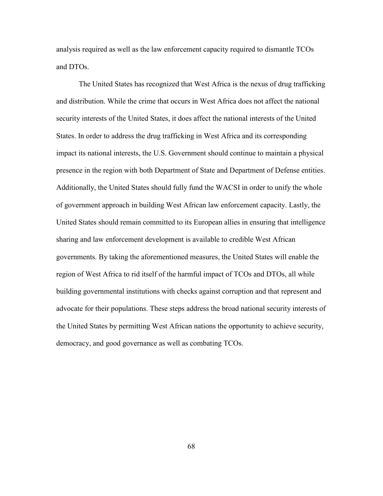analysis required as well as the law enforcement capacity required to dismantle TCOs and DTOs.

The United States has recognized that West Africa is the nexus of drug trafficking and distribution. While the crime that occurs in West Africa does not affect the national security interests of the United States, it does affect the national interests of the United States. In order to address the drug trafficking in West Africa and its corresponding impact its national interests, the U.S. Government should continue to maintain a physical presence in the region with both Department of State and Department of Defense entities. Additionally, the United States should fully fund the WACSI in order to unify the whole of government approach in building West African law enforcement capacity. Lastly, the United States should remain committed to its European allies in ensuring that intelligence sharing and law enforcement development is available to credible West African governments. By taking the aforementioned measures, the United States will enable the region of West Africa to rid itself of the harmful impact of TCOs and DTOs, all while building governmental institutions with checks against corruption and that represent and advocate for their populations. These steps address the broad national security interests of the United States by permitting West African nations the opportunity to achieve security, democracy, and good governance as well as combating TCOs.

68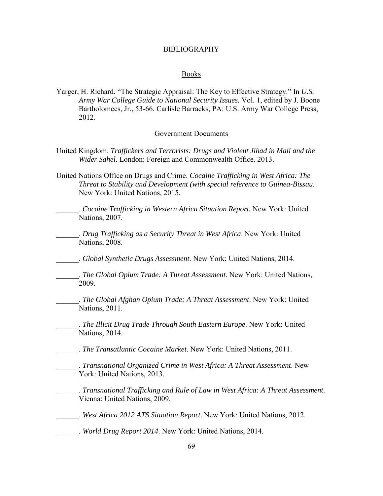### BIBLIOGRAPHY

### Books

Yarger, H. Richard. "The Strategic Appraisal: The Key to Effective Strategy." In *U.S. Army War College Guide to National Security Issues.* Vol. 1, edited by J. Boone Bartholomees, Jr., 53-66. Carlisle Barracks, PA: U.S. Army War College Press, 2012.

# Government Documents

- United Kingdom. *Traffickers and Terrorists: Drugs and Violent Jihad in Mali and the Wider Sahel*. London: Foreign and Commonwealth Office. 2013.
- United Nations Office on Drugs and Crime. *Cocaine Trafficking in West Africa: The Threat to Stability and Development (with special reference to Guinea-Bissau*. New York: United Nations, 2015.
	- \_\_\_\_\_\_. *Cocaine Trafficking in Western Africa Situation Report.* New York: United Nations, 2007.
- \_\_\_\_\_\_. *Drug Trafficking as a Security Threat in West Africa*. New York: United Nations, 2008.
- \_\_\_\_\_\_. *Global Synthetic Drugs Assessment*. New York: United Nations, 2014.
- \_\_\_\_\_\_. *The Global Opium Trade: A Threat Assessment*. New York: United Nations, 2009.
- \_\_\_\_\_\_. *The Global Afghan Opium Trade: A Threat Assessment*. New York: United Nations, 2011.
- \_\_\_\_\_\_. *The Illicit Drug Trade Through South Eastern Europe*. New York: United Nations, 2014.
- \_\_\_\_\_\_. *The Transatlantic Cocaine Market*. New York: United Nations, 2011.
- \_\_\_\_\_\_. *Transnational Organized Crime in West Africa: A Threat Assessment*. New York: United Nations, 2013.
	- \_\_\_\_\_\_. *Transnational Trafficking and Rule of Law in West Africa: A Threat Assessment*. Vienna: United Nations, 2009.
- \_\_\_\_\_\_. *West Africa 2012 ATS Situation Report*. New York: United Nations, 2012.
- \_\_\_\_\_\_. *World Drug Report 2014*. New York: United Nations, 2014.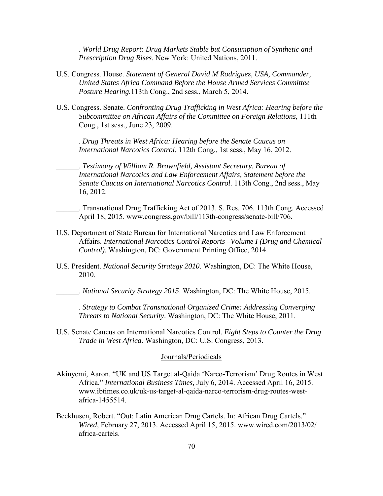\_\_\_\_\_\_. *World Drug Report: Drug Markets Stable but Consumption of Synthetic and Prescription Drug Rises*. New York: United Nations, 2011.

- U.S. Congress. House. *Statement of General David M Rodriguez, USA, Commander, United States Africa Command Before the House Armed Services Committee Posture Hearing.*113th Cong., 2nd sess., March 5, 2014.
- U.S. Congress. Senate. *Confronting Drug Trafficking in West Africa: Hearing before the Subcommittee on African Affairs of the Committee on Foreign Relations*, 111th Cong., 1st sess., June 23, 2009.

\_\_\_\_\_\_. *Drug Threats in West Africa: Hearing before the Senate Caucus on International Narcotics Control.* 112th Cong., 1st sess., May 16, 2012.

\_\_\_\_\_\_. *Testimony of William R. Brownfield, Assistant Secretary, Bureau of International Narcotics and Law Enforcement Affairs, Statement before the Senate Caucus on International Narcotics Control*. 113th Cong., 2nd sess., May 16, 2012.

- \_\_\_\_\_\_. Transnational Drug Trafficking Act of 2013. S. Res. 706. 113th Cong. Accessed April 18, 2015. www.congress.gov/bill/113th-congress/senate-bill/706.
- U.S. Department of State Bureau for International Narcotics and Law Enforcement Affairs. *International Narcotics Control Reports –Volume I (Drug and Chemical Control)*. Washington, DC: Government Printing Office, 2014.
- U.S. President. *National Security Strategy 2010*. Washington, DC: The White House, 2010.

\_\_\_\_\_\_. *National Security Strategy 2015*. Washington, DC: The White House, 2015.

\_\_\_\_\_\_. *Strategy to Combat Transnational Organized Crime: Addressing Converging Threats to National Security*. Washington, DC: The White House, 2011.

U.S. Senate Caucus on International Narcotics Control. *Eight Steps to Counter the Drug Trade in West Africa*. Washington, DC: U.S. Congress, 2013.

#### Journals/Periodicals

- Akinyemi, Aaron. "UK and US Target al-Qaida 'Narco-Terrorism' Drug Routes in West Africa." *International Business Times,* July 6, 2014. Accessed April 16, 2015. www.ibtimes.co.uk/uk-us-target-al-qaida-narco-terrorism-drug-routes-westafrica-1455514.
- Beckhusen, Robert. "Out: Latin American Drug Cartels. In: African Drug Cartels." *Wired,* February 27, 2013. Accessed April 15, 2015. www.wired.com/2013/02/ africa-cartels.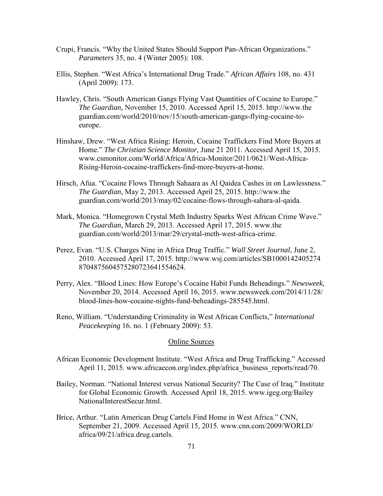- Crupi, Francis. "Why the United States Should Support Pan-African Organizations." *Parameters* 35, no. 4 (Winter 2005): 108.
- Ellis, Stephen. "West Africa's International Drug Trade." *African Affairs* 108, no. 431 (April 2009): 173.
- Hawley, Chris. "South American Gangs Flying Vast Quantities of Cocaine to Europe." *The Guardian,* November 15, 2010. Accessed April 15, 2015. http://www.the guardian.com/world/2010/nov/15/south-american-gangs-flying-cocaine-toeurope.
- Hinshaw, Drew. "West Africa Rising: Heroin, Cocaine Traffickers Find More Buyers at Home." *The Christian Science Monitor,* June 21 2011. Accessed April 15, 2015. www.csmonitor.com/World/Africa/Africa-Monitor/2011/0621/West-Africa-Rising-Heroin-cocaine-traffickers-find-more-buyers-at-home.
- Hirsch, Afua. "Cocaine Flows Through Sahaara as Al Qaidea Cashes in on Lawlessness." *The Guardian*, May 2, 2013. Accessed April 25, 2015. http://www.the guardian.com/world/2013/may/02/cocaine-flows-through-sahara-al-qaida.
- Mark, Monica. "Homegrown Crystal Meth Industry Sparks West African Crime Wave." *The Guardian,* March 29, 2013. Accessed April 17, 2015. www.the guardian.com/world/2013/mar/29/crystal-meth-west-africa-crime.
- Perez, Evan. "U.S. Charges Nine in Africa Drug Traffic." *Wall Street Journal*, June 2, 2010. Accessed April 17, 2015.<http://www.wsj.com/articles/SB1000142405274> 8704875604575280723641554624.
- Perry, Alex. "Blood Lines: How Europe's Cocaine Habit Funds Beheadings." *Newsweek,* November 20, 2014. Accessed April 16, 2015. www.newsweek.com/2014/11/28/ blood-lines-how-cocaine-nights-fund-beheadings-285545.html.
- Reno, William. "Understanding Criminality in West African Conflicts," *International Peacekeeping* 16. no. 1 (February 2009): 53.

# Online Sources

- African Economic Development Institute. "West Africa and Drug Trafficking." Accessed April 11, 2015. www.africaecon.org/index.php/africa\_business\_reports/read/70.
- Bailey, Norman. "National Interest versus National Security? The Case of Iraq." Institute for Global Economic Growth. Accessed April 18, 2015. www.igeg.org/Bailey NationalInterestSecur.html.
- Brice, Arthur. "Latin American Drug Cartels Find Home in West Africa." CNN, September 21, 2009. Accessed April 15, 2015. www.cnn.com/2009/WORLD/ africa/09/21/africa.drug.cartels.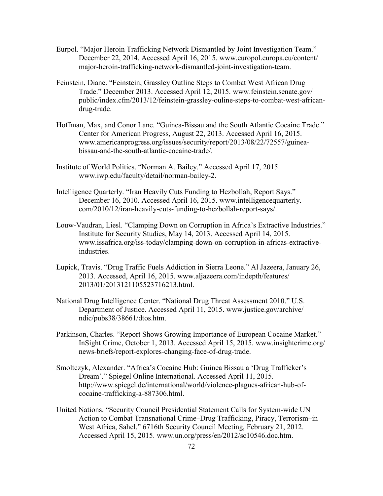- Eurpol. "Major Heroin Trafficking Network Dismantled by Joint Investigation Team." December 22, 2014. Accessed April 16, 2015. www.europol.europa.eu/content/ major-heroin-trafficking-network-dismantled-joint-investigation-team.
- Feinstein, Diane. "Feinstein, Grassley Outline Steps to Combat West African Drug Trade." December 2013. Accessed April 12, 2015. www.feinstein.senate.gov/ public/index.cfm/2013/12/feinstein-grassley-ouline-steps-to-combat-west-africandrug-trade.
- Hoffman, Max, and Conor Lane. "Guinea-Bissau and the South Atlantic Cocaine Trade." Center for American Progress, August 22, 2013. Accessed April 16, 2015. www.americanprogress.org/issues/security/report/2013/08/22/72557/guineabissau-and-the-south-atlantic-cocaine-trade/.
- Institute of World Politics. "Norman A. Bailey." Accessed April 17, 2015. www.iwp.edu/faculty/detail/norman-bailey-2.
- Intelligence Quarterly. "Iran Heavily Cuts Funding to Hezbollah, Report Says." December 16, 2010. Accessed April 16, 2015. www.intelligencequarterly. com/2010/12/iran-heavily-cuts-funding-to-hezbollah-report-says/.
- Louw-Vaudran, Liesl. "Clamping Down on Corruption in Africa's Extractive Industries." Institute for Security Studies, May 14, 2013. Accessed April 14, 2015. www.issafrica.org/iss-today/clamping-down-on-corruption-in-africas-extractiveindustries.
- Lupick, Travis. "Drug Traffic Fuels Addiction in Sierra Leone." Al Jazeera, January 26, 2013. Accessed, April 16, 2015. www.aljazeera.com/indepth/features/ 2013/01/2013121105523716213.html.
- National Drug Intelligence Center. "National Drug Threat Assessment 2010." U.S. Department of Justice. Accessed April 11, 2015. www.justice.gov/archive/ ndic/pubs38/38661/dtos.htm.
- Parkinson, Charles. "Report Shows Growing Importance of European Cocaine Market." InSight Crime, October 1, 2013. Accessed April 15, 2015. www.insightcrime.org/ news-briefs/report-explores-changing-face-of-drug-trade.
- Smoltczyk, Alexander. "Africa's Cocaine Hub: Guinea Bissau a 'Drug Trafficker's Dream'." Spiegel Online International. Accessed April 11, 2015. http://www.spiegel.de/international/world/violence-plagues-african-hub-ofcocaine-trafficking-a-887306.html.
- United Nations. "Security Council Presidential Statement Calls for System-wide UN Action to Combat Transnational Crime–Drug Trafficking, Piracy, Terrorism–in West Africa, Sahel." 6716th Security Council Meeting, February 21, 2012. Accessed April 15, 2015. www.un.org/press/en/2012/sc10546.doc.htm.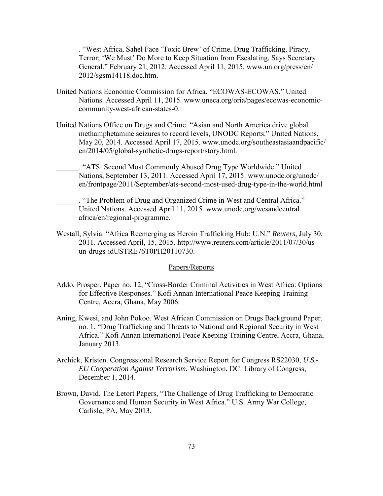\_\_\_\_\_\_. "West Africa, Sahel Face 'Toxic Brew' of Crime, Drug Trafficking, Piracy, Terror; 'We Must' Do More to Keep Situation from Escalating, Says Secretary General." February 21, 2012. Accessed April 11, 2015. www.un.org/press/en/ 2012/sgsm14118.doc.htm.

- United Nations Economic Commission for Africa. "ECOWAS-ECOWAS." United Nations. Accessed April 11, 2015. www.uneca.org/oria/pages/ecowas-economiccommunity-west-african-states-0.
- United Nations Office on Drugs and Crime. "Asian and North America drive global methamphetamine seizures to record levels, UNODC Reports." United Nations, May 20, 2014. Accessed April 17, 2015. www.unodc.org/southeastasiaandpacific/ en/2014/05/global-synthetic-drugs-report/story.html.

\_\_\_\_\_\_. "ATS: Second Most Commonly Abused Drug Type Worldwide." United Nations, September 13, 2011. Accessed April 17, 2015. www.unodc.org/unodc/ en/frontpage/2011/September/ats-second-most-used-drug-type-in-the-world.html

\_\_\_\_\_\_. "The Problem of Drug and Organized Crime in West and Central Africa." United Nations. Accessed April 11, 2015. www.unodc.org/wesandcentral africa/en/regional-programme.

Westall, Sylvia. "Africa Reemerging as Heroin Trafficking Hub: U.N." *Reuters*, July 30, 2011. Accessed April, 15, 2015. [http://www.reuters.com/article/2011/07/30/us](http://www.reuters.com/article/2011/07/30/us-un-drugs-)[un-drugs-i](http://www.reuters.com/article/2011/07/30/us-un-drugs-)dUSTRE76T0PH20110730.

# Papers/Reports

- Addo, Prosper. Paper no. 12, "Cross-Border Criminal Activities in West Africa: Options for Effective Responses." Kofi Annan International Peace Keeping Training Centre, Accra, Ghana, May 2006.
- Aning, Kwesi, and John Pokoo. West African Commission on Drugs Background Paper. no. 1, "Drug Trafficking and Threats to National and Regional Security in West Africa." Kofi Annan International Peace Keeping Training Centre, Accra, Ghana, January 2013.
- Archick, Kristen. Congressional Research Service Report for Congress RS22030, *U.S.- EU Cooperation Against Terrorism.* Washington, DC: Library of Congress, December 1, 2014.
- Brown, David. The Letort Papers, "The Challenge of Drug Trafficking to Democratic Governance and Human Security in West Africa." U.S. Army War College, Carlisle, PA, May 2013.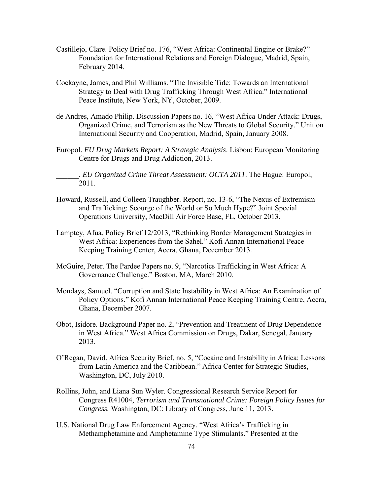- Castillejo, Clare. Policy Brief no. 176, "West Africa: Continental Engine or Brake?" Foundation for International Relations and Foreign Dialogue, Madrid, Spain, February 2014.
- Cockayne, James, and Phil Williams. "The Invisible Tide: Towards an International Strategy to Deal with Drug Trafficking Through West Africa." International Peace Institute, New York, NY, October, 2009.
- de Andres, Amado Philip. Discussion Papers no. 16, "West Africa Under Attack: Drugs, Organized Crime, and Terrorism as the New Threats to Global Security." Unit on International Security and Cooperation, Madrid, Spain, January 2008.
- Europol. *EU Drug Markets Report: A Strategic Analysis*. Lisbon: European Monitoring Centre for Drugs and Drug Addiction, 2013.

\_\_\_\_\_\_. *EU Organized Crime Threat Assessment: OCTA 2011*. The Hague: Europol, 2011.

- Howard, Russell, and Colleen Traughber. Report, no. 13-6, "The Nexus of Extremism and Trafficking: Scourge of the World or So Much Hype?" Joint Special Operations University, MacDill Air Force Base, FL, October 2013.
- Lamptey, Afua. Policy Brief 12/2013, "Rethinking Border Management Strategies in West Africa: Experiences from the Sahel." Kofi Annan International Peace Keeping Training Center, Accra, Ghana, December 2013.
- McGuire, Peter. The Pardee Papers no. 9, "Narcotics Trafficking in West Africa: A Governance Challenge." Boston, MA, March 2010.
- Mondays, Samuel. "Corruption and State Instability in West Africa: An Examination of Policy Options." Kofi Annan International Peace Keeping Training Centre, Accra, Ghana, December 2007.
- Obot, Isidore. Background Paper no. 2, "Prevention and Treatment of Drug Dependence in West Africa." West Africa Commission on Drugs, Dakar, Senegal, January 2013.
- O'Regan, David. Africa Security Brief, no. 5, "Cocaine and Instability in Africa: Lessons from Latin America and the Caribbean." Africa Center for Strategic Studies, Washington, DC, July 2010.
- Rollins, John, and Liana Sun Wyler. Congressional Research Service Report for Congress R41004, *Terrorism and Transnational Crime: Foreign Policy Issues for Congress.* Washington, DC: Library of Congress, June 11, 2013.
- U.S. National Drug Law Enforcement Agency. "West Africa's Trafficking in Methamphetamine and Amphetamine Type Stimulants." Presented at the